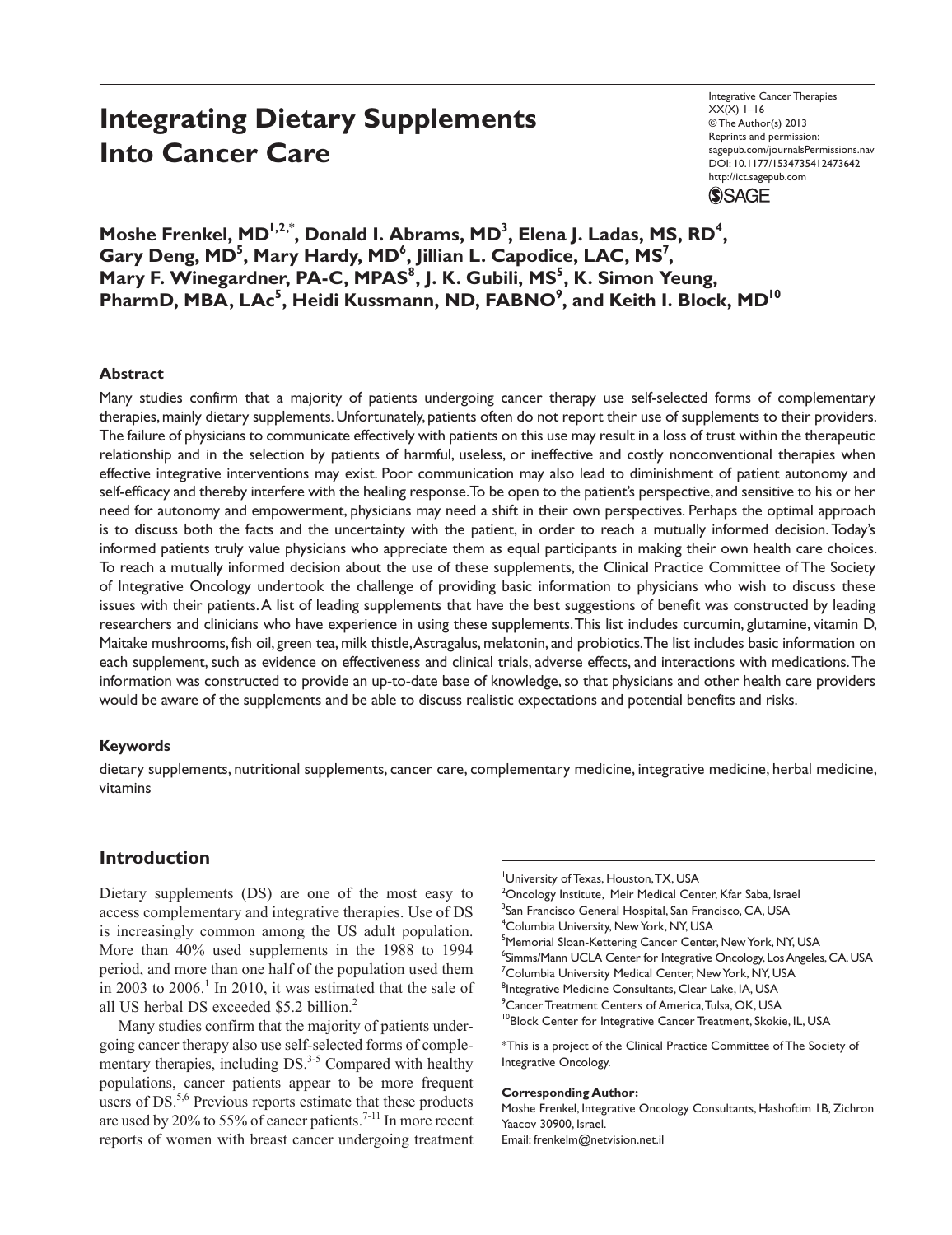# **Integrating Dietary Supplements Into Cancer Care**

Integrative Cancer Therapies  $XX(X)$  1–16 © The Author(s) 2013 Reprints and permission: sagepub.com/journalsPermissions.nav DOI: 10.1177/1534735412473642 http://ict.sagepub.com **SSAGE** 

Moshe Frenkel, MD<sup>I,2,\*</sup>, Donald I. Abrams, MD<sup>3</sup>, Elena J. Ladas, MS, RD<sup>4</sup>, Gary Deng, MD<sup>5</sup>, Mary Hardy, MD<sup>6</sup>, Jillian L. Capodice, LAC, MS<sup>7</sup>, Mary F. Winegardner, PA-C, MPAS<sup>8</sup>, J. K. Gubili, MS<sup>5</sup>, K. Simon Yeung, PharmD, MBA, LAc<sup>5</sup>, Heidi Kussmann, ND, FABNO<sup>9</sup>, and Keith I. Block, MD<sup>10</sup>

#### **Abstract**

Many studies confirm that a majority of patients undergoing cancer therapy use self-selected forms of complementary therapies, mainly dietary supplements. Unfortunately, patients often do not report their use of supplements to their providers. The failure of physicians to communicate effectively with patients on this use may result in a loss of trust within the therapeutic relationship and in the selection by patients of harmful, useless, or ineffective and costly nonconventional therapies when effective integrative interventions may exist. Poor communication may also lead to diminishment of patient autonomy and self-efficacy and thereby interfere with the healing response. To be open to the patient's perspective, and sensitive to his or her need for autonomy and empowerment, physicians may need a shift in their own perspectives. Perhaps the optimal approach is to discuss both the facts and the uncertainty with the patient, in order to reach a mutually informed decision. Today's informed patients truly value physicians who appreciate them as equal participants in making their own health care choices. To reach a mutually informed decision about the use of these supplements, the Clinical Practice Committee of The Society of Integrative Oncology undertook the challenge of providing basic information to physicians who wish to discuss these issues with their patients. A list of leading supplements that have the best suggestions of benefit was constructed by leading researchers and clinicians who have experience in using these supplements. This list includes curcumin, glutamine, vitamin D, Maitake mushrooms, fish oil, green tea, milk thistle, Astragalus, melatonin, and probiotics. The list includes basic information on each supplement, such as evidence on effectiveness and clinical trials, adverse effects, and interactions with medications. The information was constructed to provide an up-to-date base of knowledge, so that physicians and other health care providers would be aware of the supplements and be able to discuss realistic expectations and potential benefits and risks.

#### **Keywords**

dietary supplements, nutritional supplements, cancer care, complementary medicine, integrative medicine, herbal medicine, vitamins

# **Introduction**

Dietary supplements (DS) are one of the most easy to access complementary and integrative therapies. Use of DS is increasingly common among the US adult population. More than 40% used supplements in the 1988 to 1994 period, and more than one half of the population used them in 2003 to  $2006$ .<sup>1</sup> In 2010, it was estimated that the sale of all US herbal DS exceeded \$5.2 billion.<sup>2</sup>

Many studies confirm that the majority of patients undergoing cancer therapy also use self-selected forms of complementary therapies, including DS.<sup>3-5</sup> Compared with healthy populations, cancer patients appear to be more frequent users of DS. $5,6$  Previous reports estimate that these products are used by 20% to 55% of cancer patients.<sup>7-11</sup> In more recent reports of women with breast cancer undergoing treatment University of Texas, Houston, TX, USA

<sup>2</sup>Oncology Institute, Meir Medical Center, Kfar Saba, Israel <sup>3</sup>San Francisco General Hospital, San Francisco, CA, USA 4 Columbia University, New York, NY, USA <sup>5</sup>Memorial Sloan-Kettering Cancer Center, New York, NY, USA 6 Simms/Mann UCLA Center for Integrative Oncology, Los Angeles, CA, USA <sup>7</sup>Columbia University Medical Center, New York, NY, USA <sup>8</sup>Integrative Medicine Consultants, Clear Lake, IA, USA 9 Cancer Treatment Centers of America, Tulsa, OK, USA

<sup>10</sup>Block Center for Integrative Cancer Treatment, Skokie, IL, USA

#### **Corresponding Author:**

Moshe Frenkel, Integrative Oncology Consultants, Hashoftim 1B, Zichron Yaacov 30900, Israel. Email: frenkelm@netvision.net.il

<sup>\*</sup>This is a project of the Clinical Practice Committee of The Society of Integrative Oncology.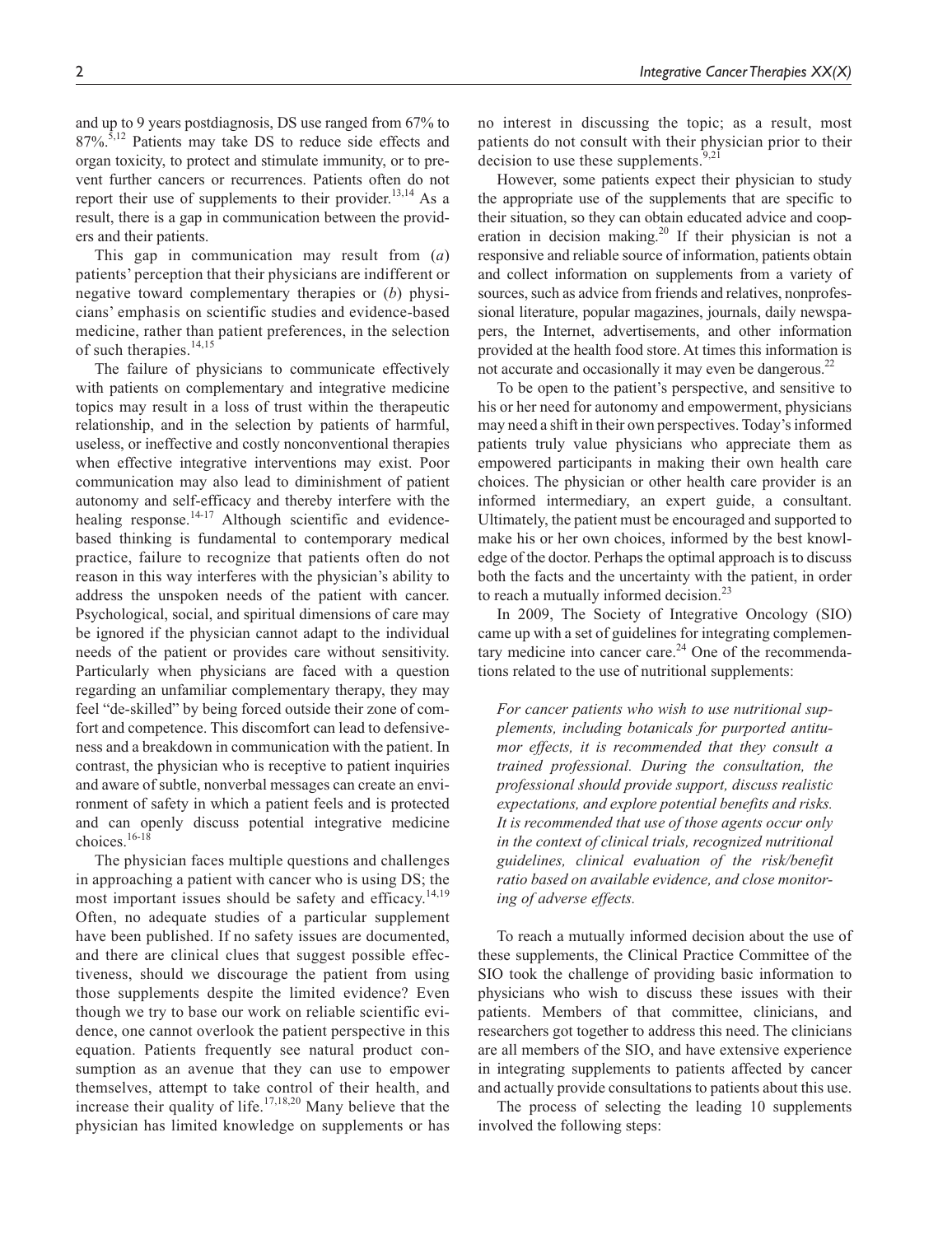and up to 9 years postdiagnosis, DS use ranged from 67% to 87%.<sup>5,12</sup> Patients may take DS to reduce side effects and organ toxicity, to protect and stimulate immunity, or to prevent further cancers or recurrences. Patients often do not report their use of supplements to their provider.<sup>13,14</sup> As a result, there is a gap in communication between the providers and their patients.

This gap in communication may result from (*a*) patients' perception that their physicians are indifferent or negative toward complementary therapies or (*b*) physicians' emphasis on scientific studies and evidence-based medicine, rather than patient preferences, in the selection of such therapies.<sup>14,15</sup>

The failure of physicians to communicate effectively with patients on complementary and integrative medicine topics may result in a loss of trust within the therapeutic relationship, and in the selection by patients of harmful, useless, or ineffective and costly nonconventional therapies when effective integrative interventions may exist. Poor communication may also lead to diminishment of patient autonomy and self-efficacy and thereby interfere with the healing response.<sup>14-17</sup> Although scientific and evidencebased thinking is fundamental to contemporary medical practice, failure to recognize that patients often do not reason in this way interferes with the physician's ability to address the unspoken needs of the patient with cancer. Psychological, social, and spiritual dimensions of care may be ignored if the physician cannot adapt to the individual needs of the patient or provides care without sensitivity. Particularly when physicians are faced with a question regarding an unfamiliar complementary therapy, they may feel "de-skilled" by being forced outside their zone of comfort and competence. This discomfort can lead to defensiveness and a breakdown in communication with the patient. In contrast, the physician who is receptive to patient inquiries and aware of subtle, nonverbal messages can create an environment of safety in which a patient feels and is protected and can openly discuss potential integrative medicine choices.16-18

The physician faces multiple questions and challenges in approaching a patient with cancer who is using DS; the most important issues should be safety and efficacy.<sup>14,19</sup> Often, no adequate studies of a particular supplement have been published. If no safety issues are documented, and there are clinical clues that suggest possible effectiveness, should we discourage the patient from using those supplements despite the limited evidence? Even though we try to base our work on reliable scientific evidence, one cannot overlook the patient perspective in this equation. Patients frequently see natural product consumption as an avenue that they can use to empower themselves, attempt to take control of their health, and increase their quality of life.<sup>17,18,20</sup> Many believe that the physician has limited knowledge on supplements or has no interest in discussing the topic; as a result, most patients do not consult with their physician prior to their decision to use these supplements.  $9,21$ 

However, some patients expect their physician to study the appropriate use of the supplements that are specific to their situation, so they can obtain educated advice and cooperation in decision making.<sup>20</sup> If their physician is not a responsive and reliable source of information, patients obtain and collect information on supplements from a variety of sources, such as advice from friends and relatives, nonprofessional literature, popular magazines, journals, daily newspapers, the Internet, advertisements, and other information provided at the health food store. At times this information is not accurate and occasionally it may even be dangerous.<sup>22</sup>

To be open to the patient's perspective, and sensitive to his or her need for autonomy and empowerment, physicians may need a shift in their own perspectives. Today's informed patients truly value physicians who appreciate them as empowered participants in making their own health care choices. The physician or other health care provider is an informed intermediary, an expert guide, a consultant. Ultimately, the patient must be encouraged and supported to make his or her own choices, informed by the best knowledge of the doctor. Perhaps the optimal approach is to discuss both the facts and the uncertainty with the patient, in order to reach a mutually informed decision. $^{23}$ 

In 2009, The Society of Integrative Oncology (SIO) came up with a set of guidelines for integrating complementary medicine into cancer care.<sup>24</sup> One of the recommendations related to the use of nutritional supplements:

*For cancer patients who wish to use nutritional supplements, including botanicals for purported antitumor effects, it is recommended that they consult a trained professional. During the consultation, the professional should provide support, discuss realistic expectations, and explore potential benefits and risks. It is recommended that use of those agents occur only in the context of clinical trials, recognized nutritional guidelines, clinical evaluation of the risk/benefit ratio based on available evidence, and close monitoring of adverse effects.*

To reach a mutually informed decision about the use of these supplements, the Clinical Practice Committee of the SIO took the challenge of providing basic information to physicians who wish to discuss these issues with their patients. Members of that committee, clinicians, and researchers got together to address this need. The clinicians are all members of the SIO, and have extensive experience in integrating supplements to patients affected by cancer and actually provide consultations to patients about this use.

The process of selecting the leading 10 supplements involved the following steps: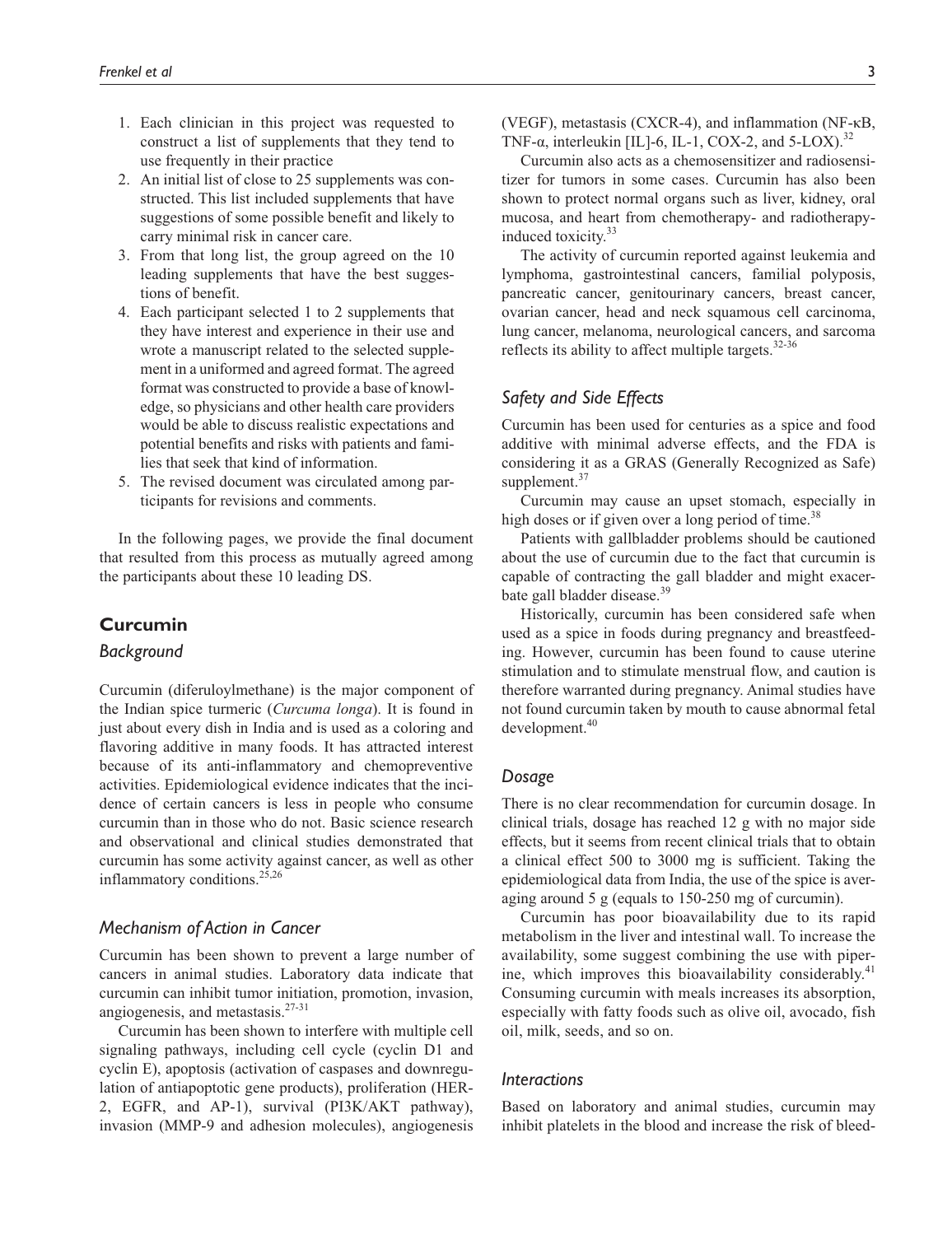- 1. Each clinician in this project was requested to construct a list of supplements that they tend to use frequently in their practice
- 2. An initial list of close to 25 supplements was constructed. This list included supplements that have suggestions of some possible benefit and likely to carry minimal risk in cancer care.
- 3. From that long list, the group agreed on the 10 leading supplements that have the best suggestions of benefit.
- 4. Each participant selected 1 to 2 supplements that they have interest and experience in their use and wrote a manuscript related to the selected supplement in a uniformed and agreed format. The agreed format was constructed to provide a base of knowledge, so physicians and other health care providers would be able to discuss realistic expectations and potential benefits and risks with patients and families that seek that kind of information.
- 5. The revised document was circulated among participants for revisions and comments.

In the following pages, we provide the final document that resulted from this process as mutually agreed among the participants about these 10 leading DS.

# **Curcumin**

#### *Background*

Curcumin (diferuloylmethane) is the major component of the Indian spice turmeric (*Curcuma longa*). It is found in just about every dish in India and is used as a coloring and flavoring additive in many foods. It has attracted interest because of its anti-inflammatory and chemopreventive activities. Epidemiological evidence indicates that the incidence of certain cancers is less in people who consume curcumin than in those who do not. Basic science research and observational and clinical studies demonstrated that curcumin has some activity against cancer, as well as other inflammatory conditions.<sup>25,26</sup>

# *Mechanism of Action in Cancer*

Curcumin has been shown to prevent a large number of cancers in animal studies. Laboratory data indicate that curcumin can inhibit tumor initiation, promotion, invasion, angiogenesis, and metastasis.27-31

Curcumin has been shown to interfere with multiple cell signaling pathways, including cell cycle (cyclin D1 and cyclin E), apoptosis (activation of caspases and downregulation of antiapoptotic gene products), proliferation (HER-2, EGFR, and AP-1), survival (PI3K/AKT pathway), invasion (MMP-9 and adhesion molecules), angiogenesis (VEGF), metastasis (CXCR-4), and inflammation (NF-κB, TNF- $\alpha$ , interleukin [IL]-6, IL-1, COX-2, and 5-LOX).<sup>32</sup>

Curcumin also acts as a chemosensitizer and radiosensitizer for tumors in some cases. Curcumin has also been shown to protect normal organs such as liver, kidney, oral mucosa, and heart from chemotherapy- and radiotherapyinduced toxicity.33

The activity of curcumin reported against leukemia and lymphoma, gastrointestinal cancers, familial polyposis, pancreatic cancer, genitourinary cancers, breast cancer, ovarian cancer, head and neck squamous cell carcinoma, lung cancer, melanoma, neurological cancers, and sarcoma reflects its ability to affect multiple targets. $32-36$ 

# *Safety and Side Effects*

Curcumin has been used for centuries as a spice and food additive with minimal adverse effects, and the FDA is considering it as a GRAS (Generally Recognized as Safe) supplement.<sup>37</sup>

Curcumin may cause an upset stomach, especially in high doses or if given over a long period of time.<sup>38</sup>

Patients with gallbladder problems should be cautioned about the use of curcumin due to the fact that curcumin is capable of contracting the gall bladder and might exacerbate gall bladder disease.<sup>39</sup>

Historically, curcumin has been considered safe when used as a spice in foods during pregnancy and breastfeeding. However, curcumin has been found to cause uterine stimulation and to stimulate menstrual flow, and caution is therefore warranted during pregnancy. Animal studies have not found curcumin taken by mouth to cause abnormal fetal development.<sup>40</sup>

#### *Dosage*

There is no clear recommendation for curcumin dosage. In clinical trials, dosage has reached 12 g with no major side effects, but it seems from recent clinical trials that to obtain a clinical effect 500 to 3000 mg is sufficient. Taking the epidemiological data from India, the use of the spice is averaging around 5 g (equals to 150-250 mg of curcumin).

Curcumin has poor bioavailability due to its rapid metabolism in the liver and intestinal wall. To increase the availability, some suggest combining the use with piperine, which improves this bioavailability considerably.<sup>41</sup> Consuming curcumin with meals increases its absorption, especially with fatty foods such as olive oil, avocado, fish oil, milk, seeds, and so on.

#### *Interactions*

Based on laboratory and animal studies, curcumin may inhibit platelets in the blood and increase the risk of bleed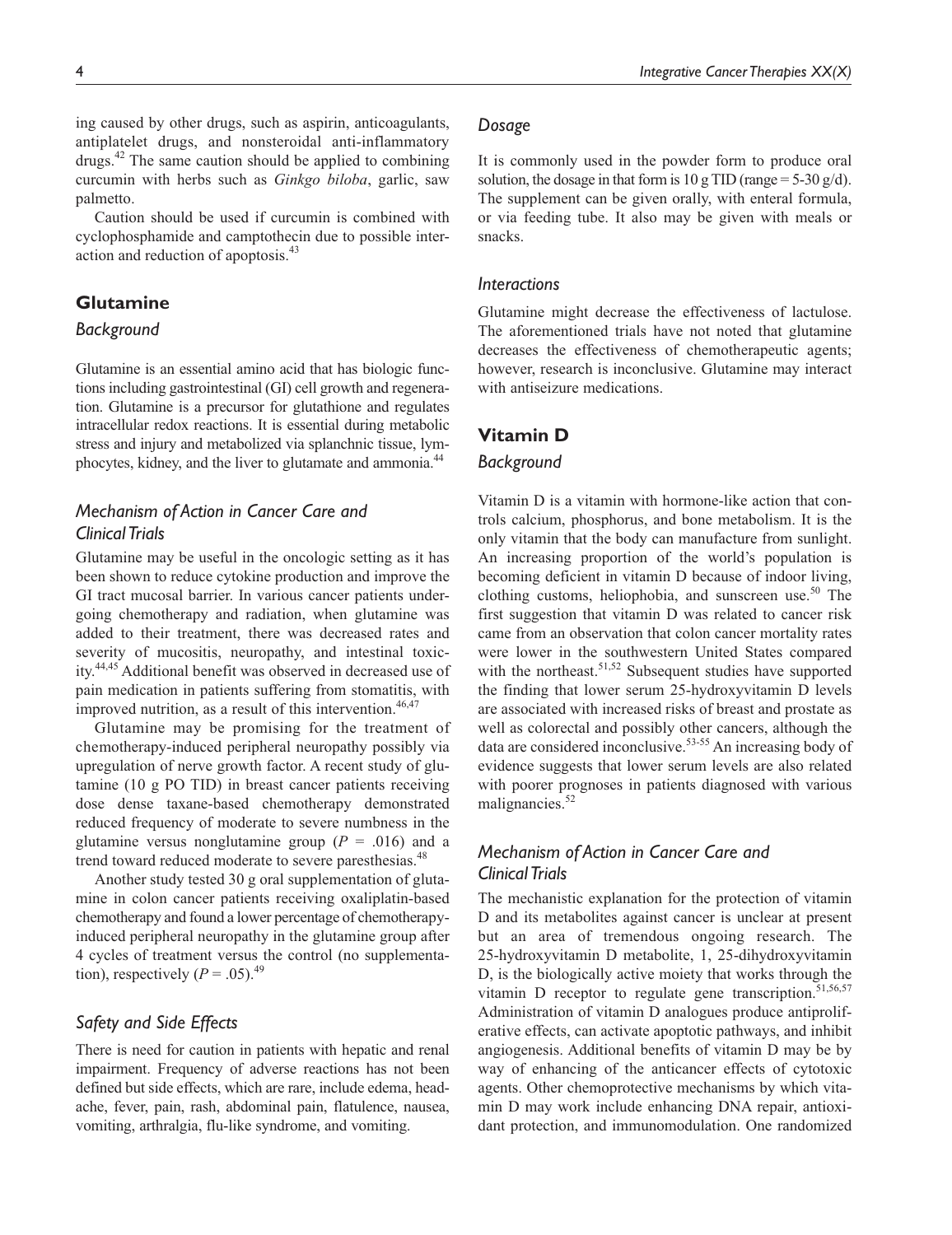ing caused by other drugs, such as aspirin, anticoagulants, antiplatelet drugs, and nonsteroidal anti-inflammatory drugs.<sup>42</sup> The same caution should be applied to combining curcumin with herbs such as *Ginkgo biloba*, garlic, saw palmetto.

Caution should be used if curcumin is combined with cyclophosphamide and camptothecin due to possible interaction and reduction of apoptosis.<sup>43</sup>

#### **Glutamine**

# *Background*

Glutamine is an essential amino acid that has biologic functions including gastrointestinal (GI) cell growth and regeneration. Glutamine is a precursor for glutathione and regulates intracellular redox reactions. It is essential during metabolic stress and injury and metabolized via splanchnic tissue, lymphocytes, kidney, and the liver to glutamate and ammonia.<sup>44</sup>

# *Mechanism of Action in Cancer Care and Clinical Trials*

Glutamine may be useful in the oncologic setting as it has been shown to reduce cytokine production and improve the GI tract mucosal barrier. In various cancer patients undergoing chemotherapy and radiation, when glutamine was added to their treatment, there was decreased rates and severity of mucositis, neuropathy, and intestinal toxicity.44,45 Additional benefit was observed in decreased use of pain medication in patients suffering from stomatitis, with improved nutrition, as a result of this intervention. $46,47$ 

Glutamine may be promising for the treatment of chemotherapy-induced peripheral neuropathy possibly via upregulation of nerve growth factor. A recent study of glutamine (10 g PO TID) in breast cancer patients receiving dose dense taxane-based chemotherapy demonstrated reduced frequency of moderate to severe numbness in the glutamine versus nonglutamine group  $(P = .016)$  and a trend toward reduced moderate to severe paresthesias.<sup>48</sup>

Another study tested 30 g oral supplementation of glutamine in colon cancer patients receiving oxaliplatin-based chemotherapy and found a lower percentage of chemotherapyinduced peripheral neuropathy in the glutamine group after 4 cycles of treatment versus the control (no supplementation), respectively  $(P=.05)$ .<sup>49</sup>

# *Safety and Side Effects*

There is need for caution in patients with hepatic and renal impairment. Frequency of adverse reactions has not been defined but side effects, which are rare, include edema, headache, fever, pain, rash, abdominal pain, flatulence, nausea, vomiting, arthralgia, flu-like syndrome, and vomiting.

#### *Dosage*

It is commonly used in the powder form to produce oral solution, the dosage in that form is  $10 \text{ g TID}$  (range = 5-30 g/d). The supplement can be given orally, with enteral formula, or via feeding tube. It also may be given with meals or snacks.

#### *Interactions*

Glutamine might decrease the effectiveness of lactulose. The aforementioned trials have not noted that glutamine decreases the effectiveness of chemotherapeutic agents; however, research is inconclusive. Glutamine may interact with antiseizure medications.

# **Vitamin D**

#### *Background*

Vitamin D is a vitamin with hormone-like action that controls calcium, phosphorus, and bone metabolism. It is the only vitamin that the body can manufacture from sunlight. An increasing proportion of the world's population is becoming deficient in vitamin D because of indoor living, clothing customs, heliophobia, and sunscreen use.<sup>50</sup> The first suggestion that vitamin D was related to cancer risk came from an observation that colon cancer mortality rates were lower in the southwestern United States compared with the northeast.  $51,52$  Subsequent studies have supported the finding that lower serum 25-hydroxyvitamin D levels are associated with increased risks of breast and prostate as well as colorectal and possibly other cancers, although the data are considered inconclusive.53-55 An increasing body of evidence suggests that lower serum levels are also related with poorer prognoses in patients diagnosed with various malignancies.<sup>52</sup>

# *Mechanism of Action in Cancer Care and Clinical Trials*

The mechanistic explanation for the protection of vitamin D and its metabolites against cancer is unclear at present but an area of tremendous ongoing research. The 25-hydroxyvitamin D metabolite, 1, 25-dihydroxyvitamin D, is the biologically active moiety that works through the vitamin D receptor to regulate gene transcription.<sup>51,56,57</sup> Administration of vitamin D analogues produce antiproliferative effects, can activate apoptotic pathways, and inhibit angiogenesis. Additional benefits of vitamin D may be by way of enhancing of the anticancer effects of cytotoxic agents. Other chemoprotective mechanisms by which vitamin D may work include enhancing DNA repair, antioxidant protection, and immunomodulation. One randomized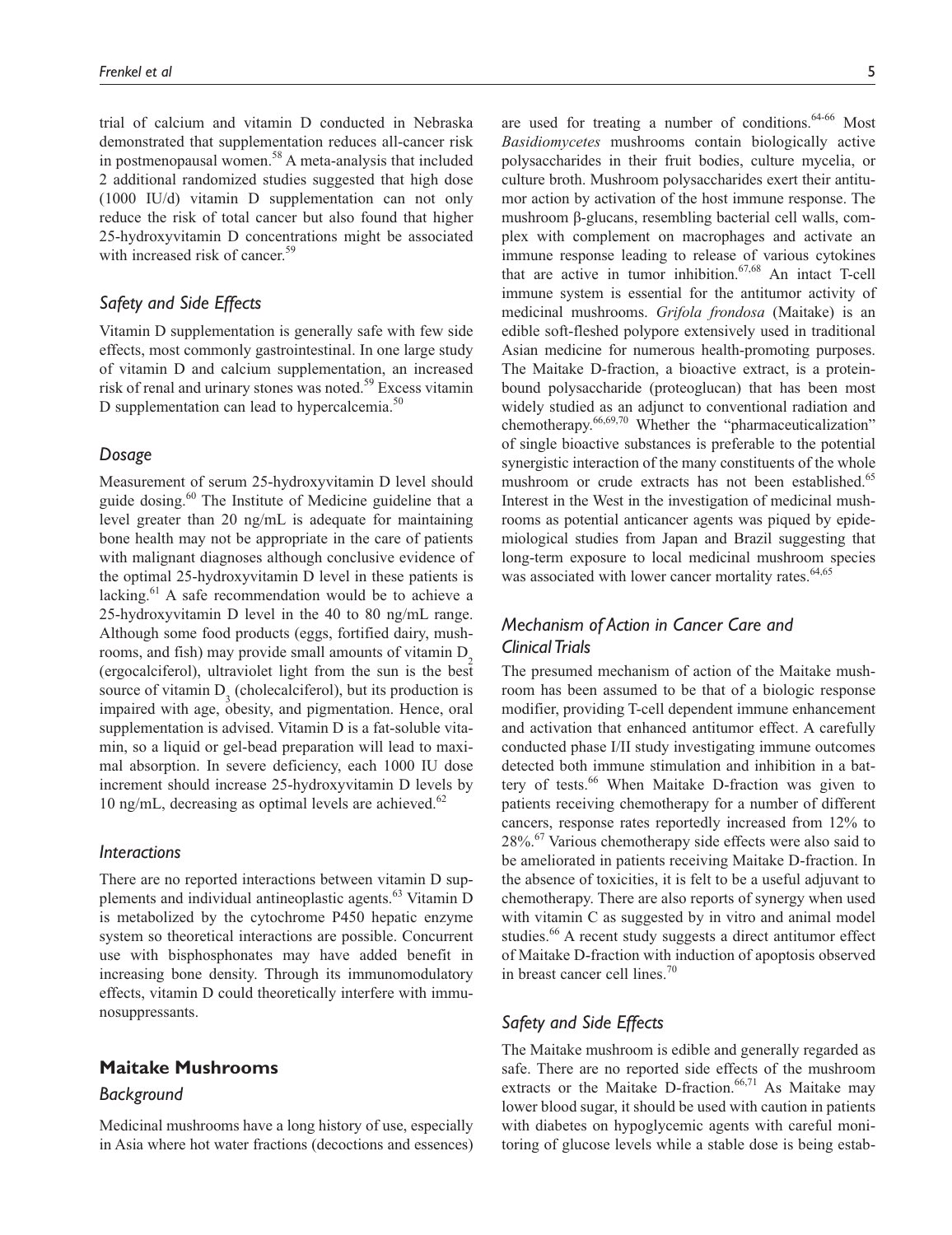trial of calcium and vitamin D conducted in Nebraska demonstrated that supplementation reduces all-cancer risk in postmenopausal women.<sup>58</sup> A meta-analysis that included 2 additional randomized studies suggested that high dose (1000 IU/d) vitamin D supplementation can not only reduce the risk of total cancer but also found that higher 25-hydroxyvitamin D concentrations might be associated with increased risk of cancer.<sup>59</sup>

## *Safety and Side Effects*

Vitamin D supplementation is generally safe with few side effects, most commonly gastrointestinal. In one large study of vitamin D and calcium supplementation, an increased risk of renal and urinary stones was noted.<sup>59</sup> Excess vitamin D supplementation can lead to hypercalcemia. $50$ 

#### *Dosage*

Measurement of serum 25-hydroxyvitamin D level should guide dosing.<sup>60</sup> The Institute of Medicine guideline that a level greater than 20 ng/mL is adequate for maintaining bone health may not be appropriate in the care of patients with malignant diagnoses although conclusive evidence of the optimal 25-hydroxyvitamin D level in these patients is lacking. $61$  A safe recommendation would be to achieve a 25-hydroxyvitamin D level in the 40 to 80 ng/mL range. Although some food products (eggs, fortified dairy, mushrooms, and fish) may provide small amounts of vitamin  $D<sub>2</sub>$ (ergocalciferol), ultraviolet light from the sun is the best source of vitamin  $D_3$  (cholecalciferol), but its production is impaired with age, obesity, and pigmentation. Hence, oral supplementation is advised. Vitamin D is a fat-soluble vitamin, so a liquid or gel-bead preparation will lead to maximal absorption. In severe deficiency, each 1000 IU dose increment should increase 25-hydroxyvitamin D levels by 10 ng/mL, decreasing as optimal levels are achieved. $62$ 

#### *Interactions*

There are no reported interactions between vitamin D supplements and individual antineoplastic agents.<sup>63</sup> Vitamin D is metabolized by the cytochrome P450 hepatic enzyme system so theoretical interactions are possible. Concurrent use with bisphosphonates may have added benefit in increasing bone density. Through its immunomodulatory effects, vitamin D could theoretically interfere with immunosuppressants.

# **Maitake Mushrooms**

#### *Background*

Medicinal mushrooms have a long history of use, especially in Asia where hot water fractions (decoctions and essences) are used for treating a number of conditions. $64-66$  Most *Basidiomycetes* mushrooms contain biologically active polysaccharides in their fruit bodies, culture mycelia, or culture broth. Mushroom polysaccharides exert their antitumor action by activation of the host immune response. The mushroom β-glucans, resembling bacterial cell walls, complex with complement on macrophages and activate an immune response leading to release of various cytokines that are active in tumor inhibition. $67,68$  An intact T-cell immune system is essential for the antitumor activity of medicinal mushrooms. *Grifola frondosa* (Maitake) is an edible soft-fleshed polypore extensively used in traditional Asian medicine for numerous health-promoting purposes. The Maitake D-fraction, a bioactive extract, is a proteinbound polysaccharide (proteoglucan) that has been most widely studied as an adjunct to conventional radiation and chemotherapy.<sup>66,69,70</sup> Whether the "pharmaceuticalization" of single bioactive substances is preferable to the potential synergistic interaction of the many constituents of the whole mushroom or crude extracts has not been established.<sup>65</sup> Interest in the West in the investigation of medicinal mushrooms as potential anticancer agents was piqued by epidemiological studies from Japan and Brazil suggesting that long-term exposure to local medicinal mushroom species was associated with lower cancer mortality rates.<sup>64,65</sup>

# *Mechanism of Action in Cancer Care and Clinical Trials*

The presumed mechanism of action of the Maitake mushroom has been assumed to be that of a biologic response modifier, providing T-cell dependent immune enhancement and activation that enhanced antitumor effect. A carefully conducted phase I/II study investigating immune outcomes detected both immune stimulation and inhibition in a battery of tests.<sup>66</sup> When Maitake D-fraction was given to patients receiving chemotherapy for a number of different cancers, response rates reportedly increased from 12% to  $28\%$ .<sup>67</sup> Various chemotherapy side effects were also said to be ameliorated in patients receiving Maitake D-fraction. In the absence of toxicities, it is felt to be a useful adjuvant to chemotherapy. There are also reports of synergy when used with vitamin C as suggested by in vitro and animal model studies.<sup>66</sup> A recent study suggests a direct antitumor effect of Maitake D-fraction with induction of apoptosis observed in breast cancer cell lines.70

# *Safety and Side Effects*

The Maitake mushroom is edible and generally regarded as safe. There are no reported side effects of the mushroom extracts or the Maitake D-fraction.<sup>66,71</sup> As Maitake may lower blood sugar, it should be used with caution in patients with diabetes on hypoglycemic agents with careful monitoring of glucose levels while a stable dose is being estab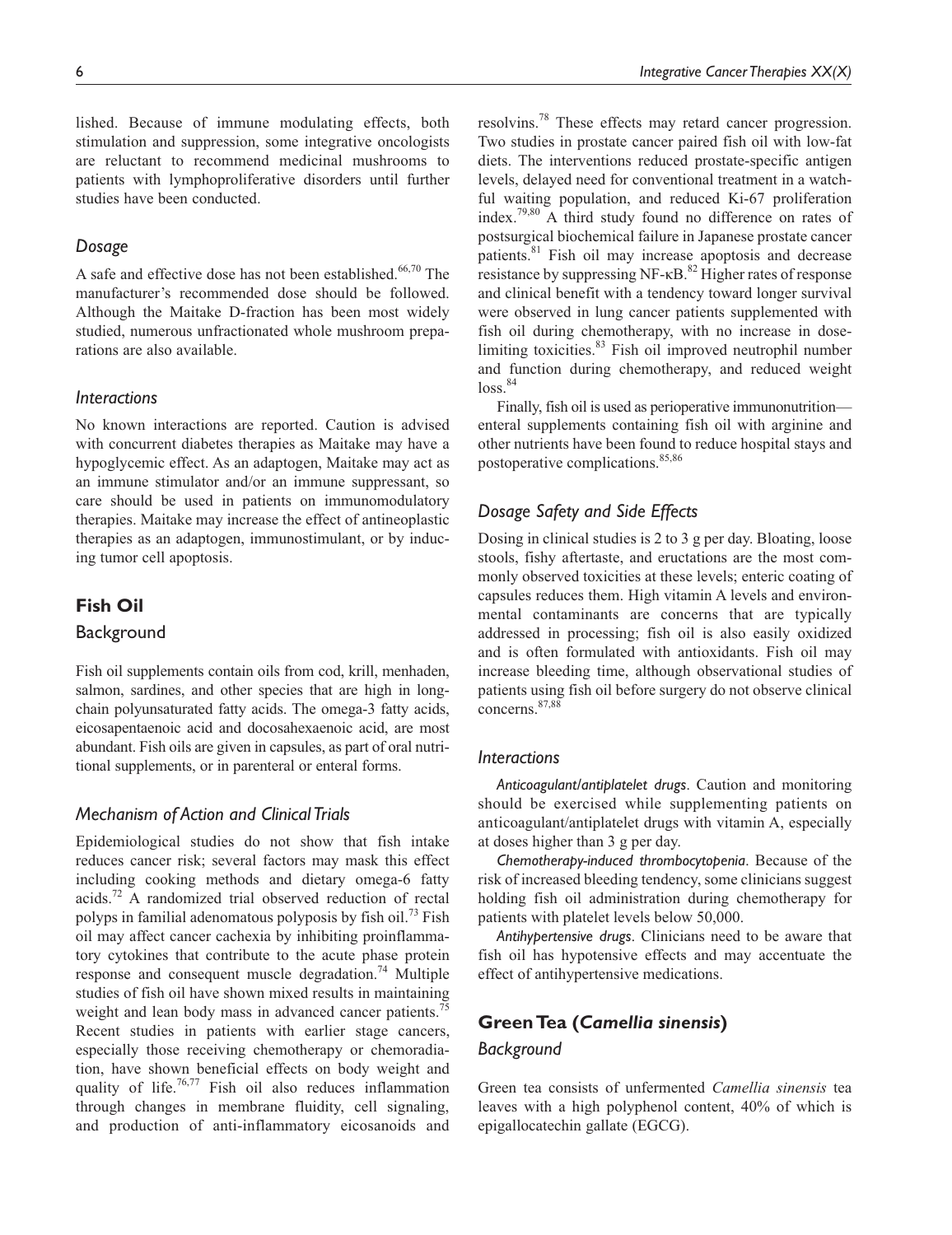lished. Because of immune modulating effects, both stimulation and suppression, some integrative oncologists are reluctant to recommend medicinal mushrooms to patients with lymphoproliferative disorders until further studies have been conducted.

#### *Dosage*

A safe and effective dose has not been established. $66,70$  The manufacturer's recommended dose should be followed. Although the Maitake D-fraction has been most widely studied, numerous unfractionated whole mushroom preparations are also available.

#### *Interactions*

No known interactions are reported. Caution is advised with concurrent diabetes therapies as Maitake may have a hypoglycemic effect. As an adaptogen, Maitake may act as an immune stimulator and/or an immune suppressant, so care should be used in patients on immunomodulatory therapies. Maitake may increase the effect of antineoplastic therapies as an adaptogen, immunostimulant, or by inducing tumor cell apoptosis.

#### **Fish Oil**

#### **Background**

Fish oil supplements contain oils from cod, krill, menhaden, salmon, sardines, and other species that are high in longchain polyunsaturated fatty acids. The omega-3 fatty acids, eicosapentaenoic acid and docosahexaenoic acid, are most abundant. Fish oils are given in capsules, as part of oral nutritional supplements, or in parenteral or enteral forms.

# *Mechanism of Action and Clinical Trials*

Epidemiological studies do not show that fish intake reduces cancer risk; several factors may mask this effect including cooking methods and dietary omega-6 fatty acids.72 A randomized trial observed reduction of rectal polyps in familial adenomatous polyposis by fish oil.<sup>73</sup> Fish oil may affect cancer cachexia by inhibiting proinflammatory cytokines that contribute to the acute phase protein response and consequent muscle degradation.<sup>74</sup> Multiple studies of fish oil have shown mixed results in maintaining weight and lean body mass in advanced cancer patients.<sup>7</sup> Recent studies in patients with earlier stage cancers, especially those receiving chemotherapy or chemoradiation, have shown beneficial effects on body weight and quality of life.<sup>76,77</sup> Fish oil also reduces inflammation through changes in membrane fluidity, cell signaling, and production of anti-inflammatory eicosanoids and resolvins.78 These effects may retard cancer progression. Two studies in prostate cancer paired fish oil with low-fat diets. The interventions reduced prostate-specific antigen levels, delayed need for conventional treatment in a watchful waiting population, and reduced Ki-67 proliferation index.79,80 A third study found no difference on rates of postsurgical biochemical failure in Japanese prostate cancer patients.<sup>81</sup> Fish oil may increase apoptosis and decrease resistance by suppressing  $NF - \kappa B$ .<sup>82</sup> Higher rates of response and clinical benefit with a tendency toward longer survival were observed in lung cancer patients supplemented with

fish oil during chemotherapy, with no increase in doselimiting toxicities. $83$  Fish oil improved neutrophil number and function during chemotherapy, and reduced weight  $loss.<sup>84</sup>$ Finally, fish oil is used as perioperative immunonutrition—

enteral supplements containing fish oil with arginine and other nutrients have been found to reduce hospital stays and postoperative complications.<sup>85,86</sup>

# *Dosage Safety and Side Effects*

Dosing in clinical studies is 2 to 3 g per day. Bloating, loose stools, fishy aftertaste, and eructations are the most commonly observed toxicities at these levels; enteric coating of capsules reduces them. High vitamin A levels and environmental contaminants are concerns that are typically addressed in processing; fish oil is also easily oxidized and is often formulated with antioxidants. Fish oil may increase bleeding time, although observational studies of patients using fish oil before surgery do not observe clinical concerns.<sup>87,88</sup>

#### *Interactions*

*Anticoagulant/antiplatelet drugs*. Caution and monitoring should be exercised while supplementing patients on anticoagulant/antiplatelet drugs with vitamin A, especially at doses higher than 3 g per day.

*Chemotherapy-induced thrombocytopenia*. Because of the risk of increased bleeding tendency, some clinicians suggest holding fish oil administration during chemotherapy for patients with platelet levels below 50,000.

*Antihypertensive drugs*. Clinicians need to be aware that fish oil has hypotensive effects and may accentuate the effect of antihypertensive medications.

# **Green Tea (***Camellia sinensis***)**

#### *Background*

Green tea consists of unfermented *Camellia sinensis* tea leaves with a high polyphenol content, 40% of which is epigallocatechin gallate (EGCG).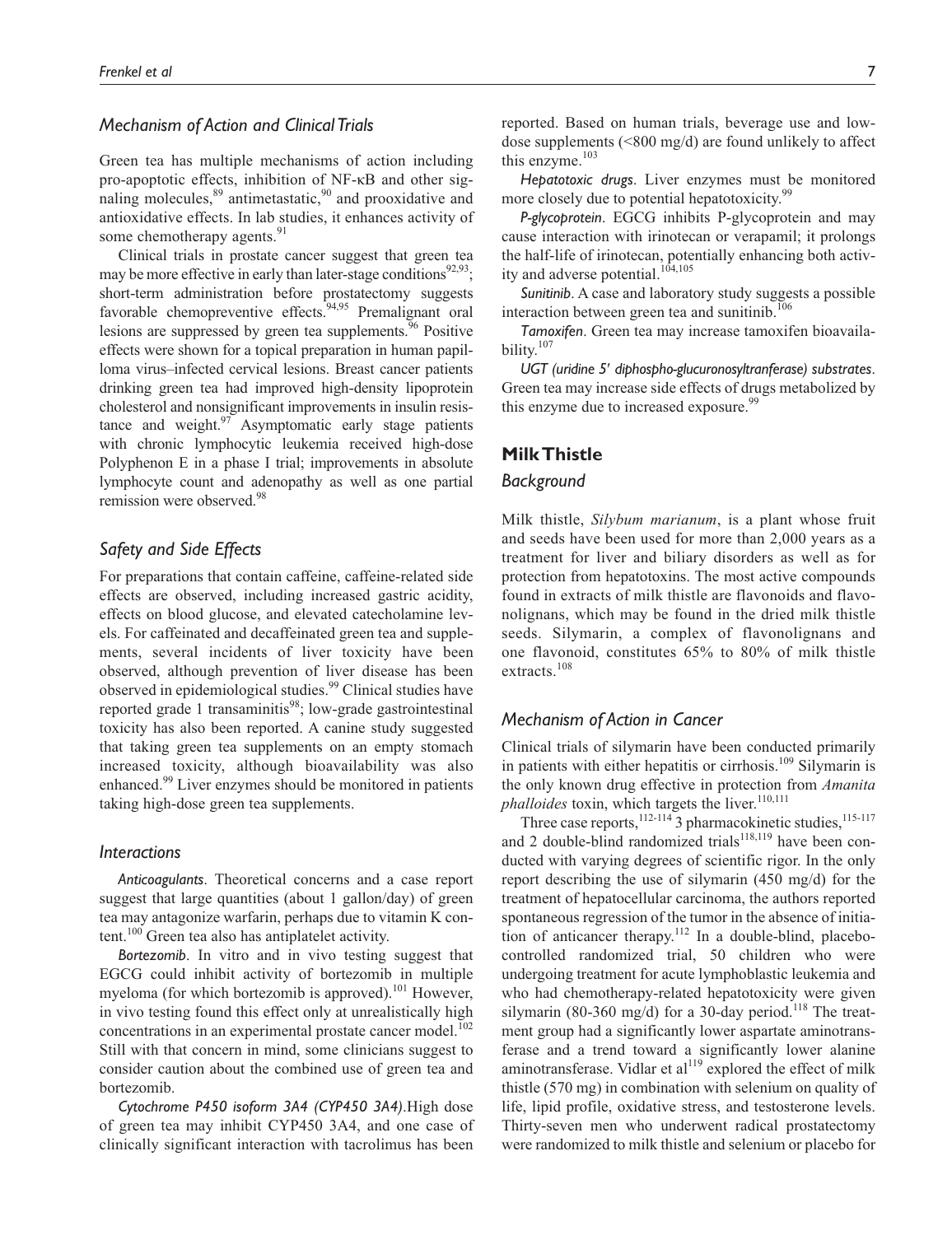#### *Mechanism of Action and Clinical Trials*

Green tea has multiple mechanisms of action including pro-apoptotic effects, inhibition of NF-κB and other signaling molecules, $89$  antimetastatic, $90$  and prooxidative and antioxidative effects. In lab studies, it enhances activity of some chemotherapy agents.<sup>91</sup>

Clinical trials in prostate cancer suggest that green tea may be more effective in early than later-stage conditions<sup>92,93</sup>; short-term administration before prostatectomy suggests favorable chemopreventive effects.<sup>94,95</sup> Premalignant oral lesions are suppressed by green tea supplements.<sup>96</sup> Positive effects were shown for a topical preparation in human papilloma virus–infected cervical lesions. Breast cancer patients drinking green tea had improved high-density lipoprotein cholesterol and nonsignificant improvements in insulin resistance and weight. $97$  Asymptomatic early stage patients with chronic lymphocytic leukemia received high-dose Polyphenon E in a phase I trial; improvements in absolute lymphocyte count and adenopathy as well as one partial remission were observed.<sup>98</sup>

# *Safety and Side Effects*

For preparations that contain caffeine, caffeine-related side effects are observed, including increased gastric acidity, effects on blood glucose, and elevated catecholamine levels. For caffeinated and decaffeinated green tea and supplements, several incidents of liver toxicity have been observed, although prevention of liver disease has been observed in epidemiological studies.<sup>99</sup> Clinical studies have reported grade 1 transaminitis $98$ ; low-grade gastrointestinal toxicity has also been reported. A canine study suggested that taking green tea supplements on an empty stomach increased toxicity, although bioavailability was also enhanced.<sup>99</sup> Liver enzymes should be monitored in patients taking high-dose green tea supplements.

#### *Interactions*

*Anticoagulants*. Theoretical concerns and a case report suggest that large quantities (about 1 gallon/day) of green tea may antagonize warfarin, perhaps due to vitamin K content.<sup>100</sup> Green tea also has antiplatelet activity.

*Bortezomib*. In vitro and in vivo testing suggest that EGCG could inhibit activity of bortezomib in multiple myeloma (for which bortezomib is approved). $101$  However, in vivo testing found this effect only at unrealistically high concentrations in an experimental prostate cancer model.<sup>102</sup> Still with that concern in mind, some clinicians suggest to consider caution about the combined use of green tea and bortezomib.

*Cytochrome P450 isoform 3A4 (CYP450 3A4)*.High dose of green tea may inhibit CYP450 3A4, and one case of clinically significant interaction with tacrolimus has been

reported. Based on human trials, beverage use and lowdose supplements (<800 mg/d) are found unlikely to affect this enzyme. $103$ 

*Hepatotoxic drugs*. Liver enzymes must be monitored more closely due to potential hepatotoxicity.<sup>99</sup>

*P-glycoprotein*. EGCG inhibits P-glycoprotein and may cause interaction with irinotecan or verapamil; it prolongs the half-life of irinotecan, potentially enhancing both activity and adverse potential.<sup>104,105</sup>

*Sunitinib*. A case and laboratory study suggests a possible interaction between green tea and sunitinib.<sup>106</sup>

*Tamoxifen*. Green tea may increase tamoxifen bioavailability.<sup>107</sup>

*UGT (uridine 5*′ *diphospho-glucuronosyltranferase) substrates*. Green tea may increase side effects of drugs metabolized by this enzyme due to increased exposure.<sup>99</sup>

# **Milk Thistle**

#### *Background*

Milk thistle, *Silybum marianum*, is a plant whose fruit and seeds have been used for more than 2,000 years as a treatment for liver and biliary disorders as well as for protection from hepatotoxins. The most active compounds found in extracts of milk thistle are flavonoids and flavonolignans, which may be found in the dried milk thistle seeds. Silymarin, a complex of flavonolignans and one flavonoid, constitutes 65% to 80% of milk thistle extracts.<sup>108</sup>

#### *Mechanism of Action in Cancer*

Clinical trials of silymarin have been conducted primarily in patients with either hepatitis or cirrhosis.<sup>109</sup> Silymarin is the only known drug effective in protection from *Amanita phalloides* toxin, which targets the liver.<sup>110,111</sup>

Three case reports, $112-114$  3 pharmacokinetic studies, $115-117$ and 2 double-blind randomized trials $118,119$  have been conducted with varying degrees of scientific rigor. In the only report describing the use of silymarin (450 mg/d) for the treatment of hepatocellular carcinoma, the authors reported spontaneous regression of the tumor in the absence of initiation of anticancer therapy.<sup>112</sup> In a double-blind, placebocontrolled randomized trial, 50 children who were undergoing treatment for acute lymphoblastic leukemia and who had chemotherapy-related hepatotoxicity were given silymarin (80-360 mg/d) for a 30-day period.<sup>118</sup> The treatment group had a significantly lower aspartate aminotransferase and a trend toward a significantly lower alanine aminotransferase. Vidlar et al $^{119}$  explored the effect of milk thistle (570 mg) in combination with selenium on quality of life, lipid profile, oxidative stress, and testosterone levels. Thirty-seven men who underwent radical prostatectomy were randomized to milk thistle and selenium or placebo for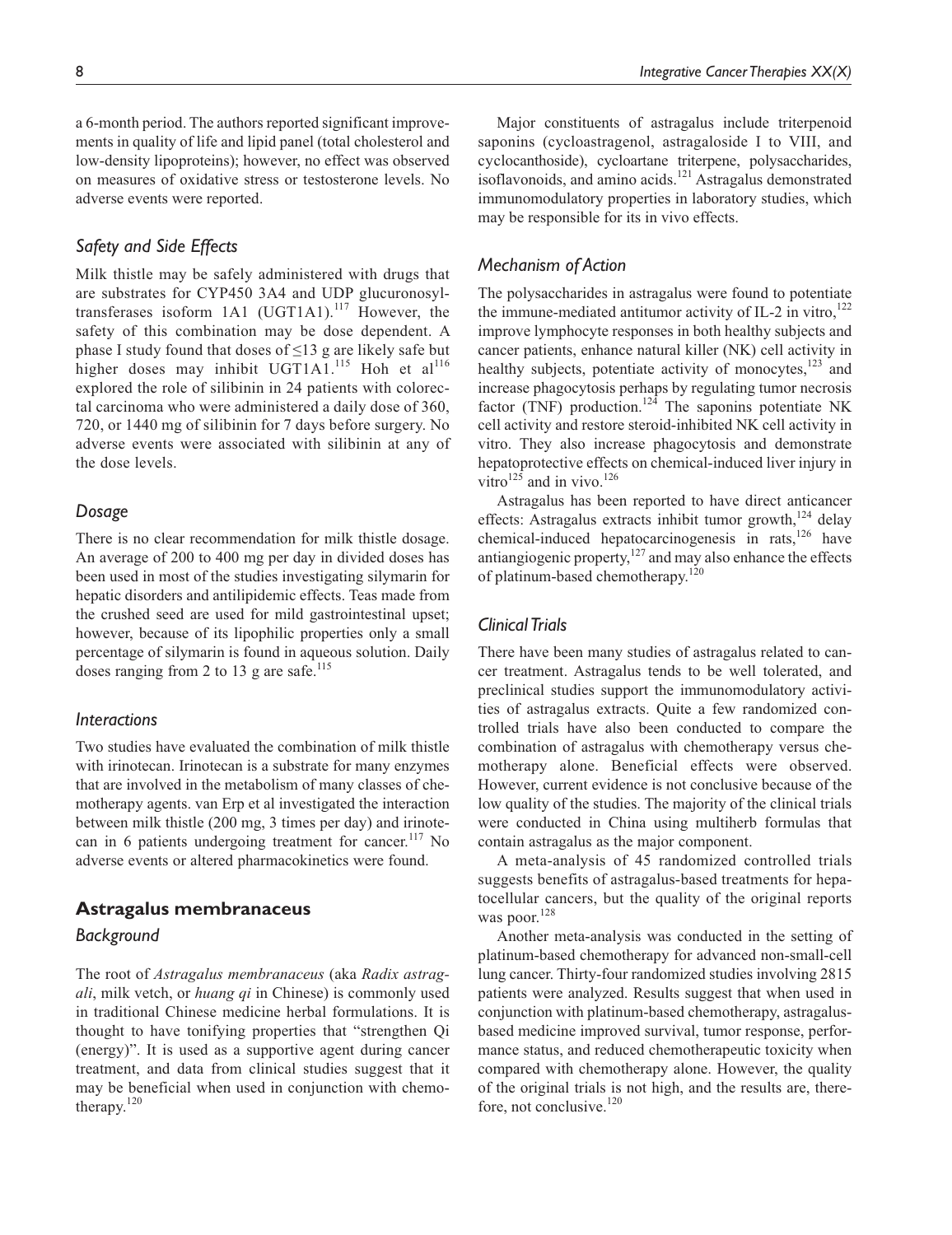ments in quality of life and lipid panel (total cholesterol and low-density lipoproteins); however, no effect was observed on measures of oxidative stress or testosterone levels. No adverse events were reported.

# *Safety and Side Effects*

Milk thistle may be safely administered with drugs that are substrates for CYP450 3A4 and UDP glucuronosyltransferases isoform  $1A1$  (UGT1A1).<sup>117</sup> However, the safety of this combination may be dose dependent. A phase I study found that doses of  $\leq$ 13 g are likely safe but higher doses may inhibit UGT1A1.<sup>115</sup> Hoh et al<sup>116</sup> explored the role of silibinin in 24 patients with colorectal carcinoma who were administered a daily dose of 360, 720, or 1440 mg of silibinin for 7 days before surgery. No adverse events were associated with silibinin at any of the dose levels.

# *Dosage*

There is no clear recommendation for milk thistle dosage. An average of 200 to 400 mg per day in divided doses has been used in most of the studies investigating silymarin for hepatic disorders and antilipidemic effects. Teas made from the crushed seed are used for mild gastrointestinal upset; however, because of its lipophilic properties only a small percentage of silymarin is found in aqueous solution. Daily doses ranging from 2 to 13 g are safe.<sup>115</sup>

#### *Interactions*

Two studies have evaluated the combination of milk thistle with irinotecan. Irinotecan is a substrate for many enzymes that are involved in the metabolism of many classes of chemotherapy agents. van Erp et al investigated the interaction between milk thistle (200 mg, 3 times per day) and irinotecan in 6 patients undergoing treatment for cancer.<sup>117</sup> No adverse events or altered pharmacokinetics were found.

# **Astragalus membranaceus**

#### *Background*

The root of *Astragalus membranaceus* (aka *Radix astragali*, milk vetch, or *huang qi* in Chinese) is commonly used in traditional Chinese medicine herbal formulations. It is thought to have tonifying properties that "strengthen Qi (energy)". It is used as a supportive agent during cancer treatment, and data from clinical studies suggest that it may be beneficial when used in conjunction with chemotherapy. $120$ 

Major constituents of astragalus include triterpenoid saponins (cycloastragenol, astragaloside I to VIII, and cyclocanthoside), cycloartane triterpene, polysaccharides, isoflavonoids, and amino acids.<sup>121</sup> Astragalus demonstrated immunomodulatory properties in laboratory studies, which may be responsible for its in vivo effects.

### *Mechanism of Action*

The polysaccharides in astragalus were found to potentiate the immune-mediated antitumor activity of IL-2 in vitro, $122$ improve lymphocyte responses in both healthy subjects and cancer patients, enhance natural killer (NK) cell activity in healthy subjects, potentiate activity of monocytes, $123$  and increase phagocytosis perhaps by regulating tumor necrosis factor (TNF) production.<sup>124</sup> The saponins potentiate NK cell activity and restore steroid-inhibited NK cell activity in vitro. They also increase phagocytosis and demonstrate hepatoprotective effects on chemical-induced liver injury in vitro $125$  and in vivo. $126$ 

Astragalus has been reported to have direct anticancer effects: Astragalus extracts inhibit tumor growth, $124$  delay chemical-induced hepatocarcinogenesis in rats, $126$  have antiangiogenic property, $127$  and may also enhance the effects of platinum-based chemotherapy.<sup>120</sup>

# *Clinical Trials*

There have been many studies of astragalus related to cancer treatment. Astragalus tends to be well tolerated, and preclinical studies support the immunomodulatory activities of astragalus extracts. Quite a few randomized controlled trials have also been conducted to compare the combination of astragalus with chemotherapy versus chemotherapy alone. Beneficial effects were observed. However, current evidence is not conclusive because of the low quality of the studies. The majority of the clinical trials were conducted in China using multiherb formulas that contain astragalus as the major component.

A meta-analysis of 45 randomized controlled trials suggests benefits of astragalus-based treatments for hepatocellular cancers, but the quality of the original reports was poor. $128$ 

Another meta-analysis was conducted in the setting of platinum-based chemotherapy for advanced non-small-cell lung cancer. Thirty-four randomized studies involving 2815 patients were analyzed. Results suggest that when used in conjunction with platinum-based chemotherapy, astragalusbased medicine improved survival, tumor response, performance status, and reduced chemotherapeutic toxicity when compared with chemotherapy alone. However, the quality of the original trials is not high, and the results are, therefore, not conclusive.<sup>120</sup>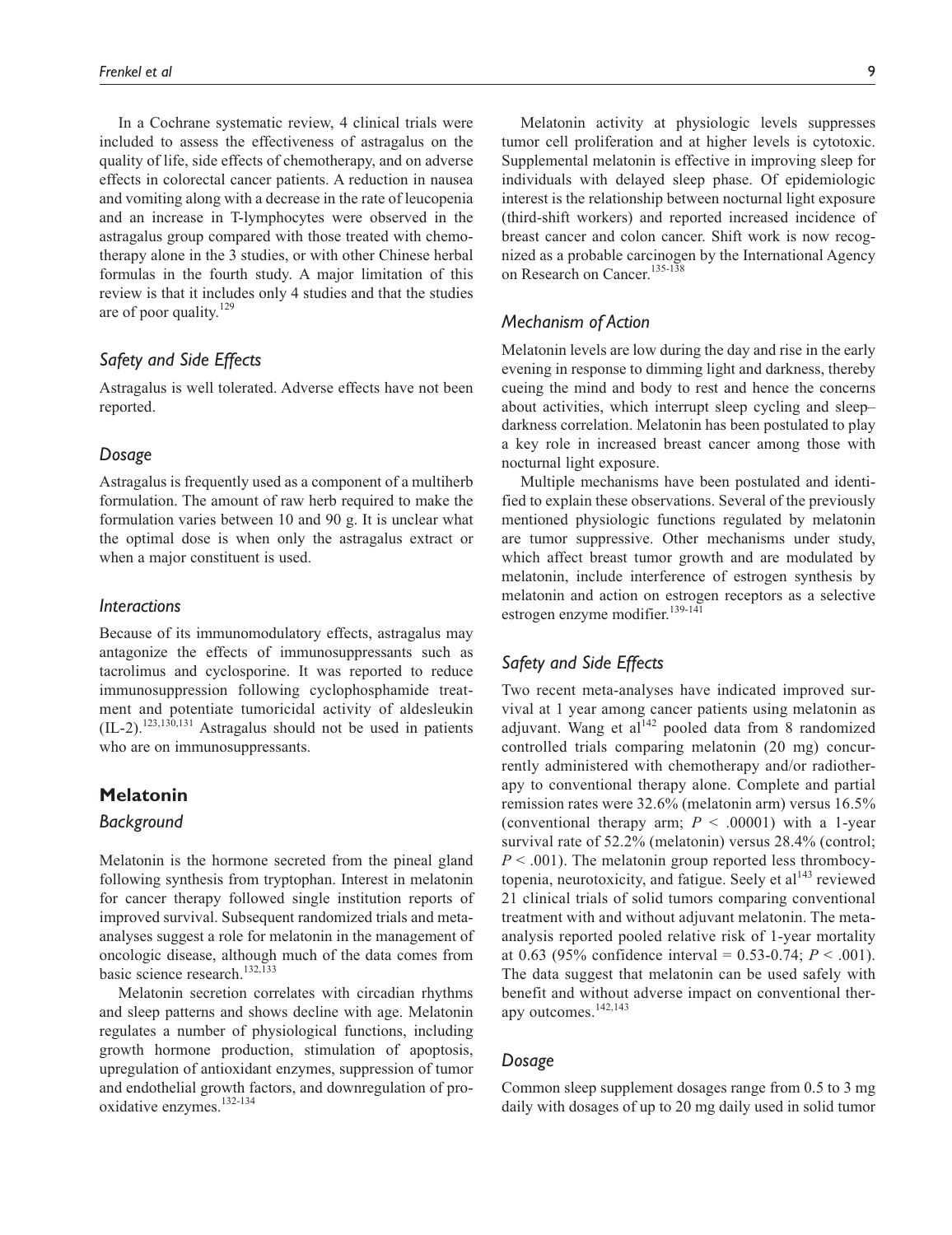In a Cochrane systematic review, 4 clinical trials were included to assess the effectiveness of astragalus on the quality of life, side effects of chemotherapy, and on adverse effects in colorectal cancer patients. A reduction in nausea and vomiting along with a decrease in the rate of leucopenia and an increase in T-lymphocytes were observed in the astragalus group compared with those treated with chemotherapy alone in the 3 studies, or with other Chinese herbal formulas in the fourth study. A major limitation of this review is that it includes only 4 studies and that the studies are of poor quality.<sup>129</sup>

# *Safety and Side Effects*

Astragalus is well tolerated. Adverse effects have not been reported.

#### *Dosage*

Astragalus is frequently used as a component of a multiherb formulation. The amount of raw herb required to make the formulation varies between 10 and 90 g. It is unclear what the optimal dose is when only the astragalus extract or when a major constituent is used.

#### *Interactions*

Because of its immunomodulatory effects, astragalus may antagonize the effects of immunosuppressants such as tacrolimus and cyclosporine. It was reported to reduce immunosuppression following cyclophosphamide treatment and potentiate tumoricidal activity of aldesleukin  $(IL-2).$ <sup>123,130,131</sup> Astragalus should not be used in patients who are on immunosuppressants.

### **Melatonin**

#### *Background*

Melatonin is the hormone secreted from the pineal gland following synthesis from tryptophan. Interest in melatonin for cancer therapy followed single institution reports of improved survival. Subsequent randomized trials and metaanalyses suggest a role for melatonin in the management of oncologic disease, although much of the data comes from basic science research.<sup>132,133</sup>

Melatonin secretion correlates with circadian rhythms and sleep patterns and shows decline with age. Melatonin regulates a number of physiological functions, including growth hormone production, stimulation of apoptosis, upregulation of antioxidant enzymes, suppression of tumor and endothelial growth factors, and downregulation of prooxidative enzymes.<sup>132-134</sup>

Melatonin activity at physiologic levels suppresses tumor cell proliferation and at higher levels is cytotoxic. Supplemental melatonin is effective in improving sleep for individuals with delayed sleep phase. Of epidemiologic interest is the relationship between nocturnal light exposure (third-shift workers) and reported increased incidence of breast cancer and colon cancer. Shift work is now recognized as a probable carcinogen by the International Agency on Research on Cancer.<sup>135-138</sup>

#### *Mechanism of Action*

Melatonin levels are low during the day and rise in the early evening in response to dimming light and darkness, thereby cueing the mind and body to rest and hence the concerns about activities, which interrupt sleep cycling and sleep– darkness correlation. Melatonin has been postulated to play a key role in increased breast cancer among those with nocturnal light exposure.

Multiple mechanisms have been postulated and identified to explain these observations. Several of the previously mentioned physiologic functions regulated by melatonin are tumor suppressive. Other mechanisms under study, which affect breast tumor growth and are modulated by melatonin, include interference of estrogen synthesis by melatonin and action on estrogen receptors as a selective estrogen enzyme modifier.<sup>139-141</sup>

# *Safety and Side Effects*

Two recent meta-analyses have indicated improved survival at 1 year among cancer patients using melatonin as adjuvant. Wang et al $^{142}$  pooled data from 8 randomized controlled trials comparing melatonin (20 mg) concurrently administered with chemotherapy and/or radiotherapy to conventional therapy alone. Complete and partial remission rates were 32.6% (melatonin arm) versus 16.5% (conventional therapy arm;  $P < .00001$ ) with a 1-year survival rate of 52.2% (melatonin) versus 28.4% (control;  $P < .001$ ). The melatonin group reported less thrombocytopenia, neurotoxicity, and fatigue. Seely et al<sup>143</sup> reviewed 21 clinical trials of solid tumors comparing conventional treatment with and without adjuvant melatonin. The metaanalysis reported pooled relative risk of 1-year mortality at 0.63 (95% confidence interval = 0.53-0.74;  $P < .001$ ). The data suggest that melatonin can be used safely with benefit and without adverse impact on conventional therapy outcomes.<sup>142,143</sup>

#### *Dosage*

Common sleep supplement dosages range from 0.5 to 3 mg daily with dosages of up to 20 mg daily used in solid tumor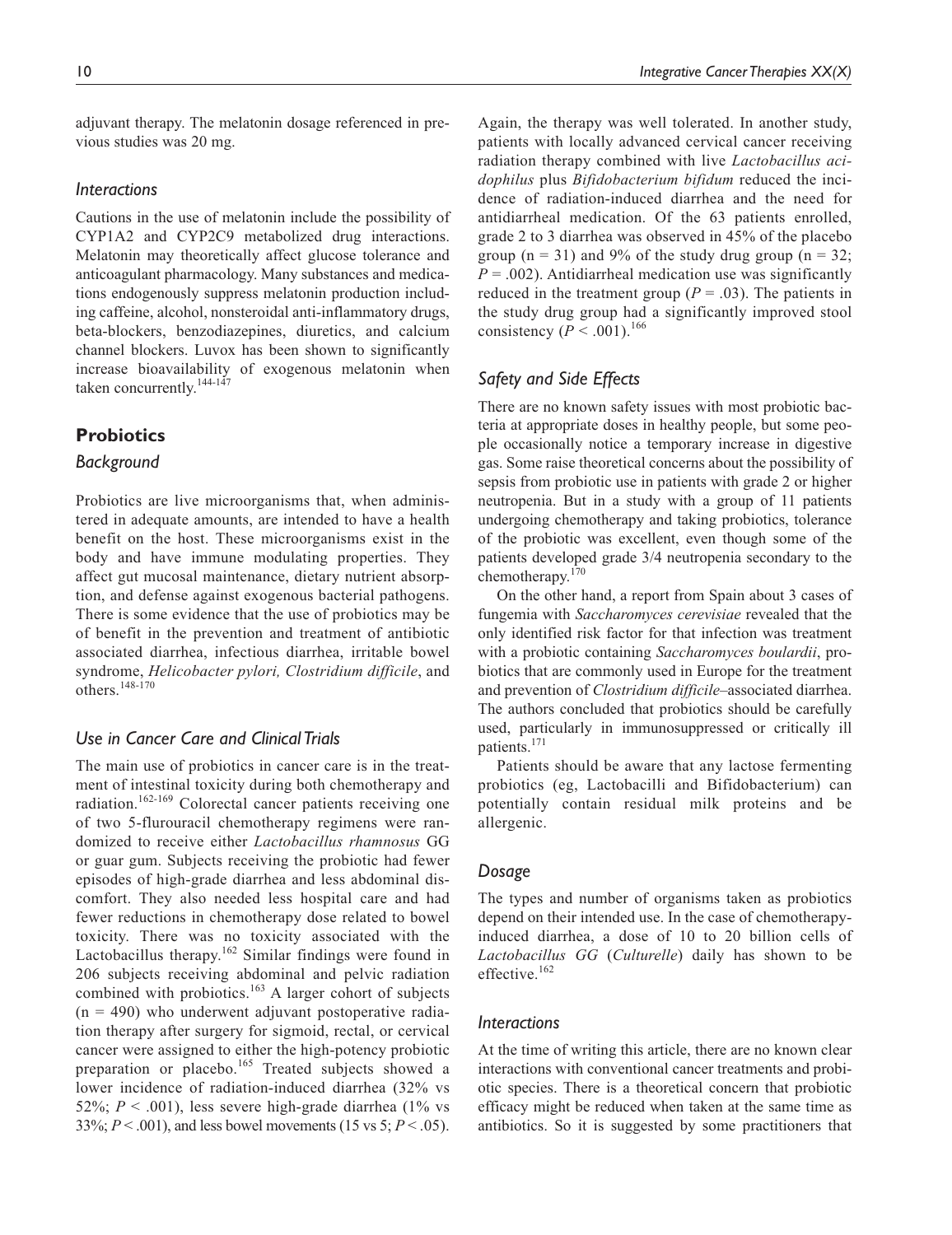adjuvant therapy. The melatonin dosage referenced in previous studies was 20 mg.

#### *Interactions*

Cautions in the use of melatonin include the possibility of CYP1A2 and CYP2C9 metabolized drug interactions. Melatonin may theoretically affect glucose tolerance and anticoagulant pharmacology. Many substances and medications endogenously suppress melatonin production including caffeine, alcohol, nonsteroidal anti-inflammatory drugs, beta-blockers, benzodiazepines, diuretics, and calcium channel blockers. Luvox has been shown to significantly increase bioavailability of exogenous melatonin when taken concurrently.<sup>144-147</sup>

# **Probiotics**

#### *Background*

Probiotics are live microorganisms that, when administered in adequate amounts, are intended to have a health benefit on the host. These microorganisms exist in the body and have immune modulating properties. They affect gut mucosal maintenance, dietary nutrient absorption, and defense against exogenous bacterial pathogens. There is some evidence that the use of probiotics may be of benefit in the prevention and treatment of antibiotic associated diarrhea, infectious diarrhea, irritable bowel syndrome, *Helicobacter pylori, Clostridium difficile*, and others.<sup>148-170</sup>

# *Use in Cancer Care and Clinical Trials*

The main use of probiotics in cancer care is in the treatment of intestinal toxicity during both chemotherapy and radiation.<sup>162-169</sup> Colorectal cancer patients receiving one of two 5-flurouracil chemotherapy regimens were randomized to receive either *Lactobacillus rhamnosus* GG or guar gum. Subjects receiving the probiotic had fewer episodes of high-grade diarrhea and less abdominal discomfort. They also needed less hospital care and had fewer reductions in chemotherapy dose related to bowel toxicity. There was no toxicity associated with the Lactobacillus therapy.<sup>162</sup> Similar findings were found in 206 subjects receiving abdominal and pelvic radiation combined with probiotics.<sup>163</sup> A larger cohort of subjects  $(n = 490)$  who underwent adjuvant postoperative radiation therapy after surgery for sigmoid, rectal, or cervical cancer were assigned to either the high-potency probiotic preparation or placebo.<sup>165</sup> Treated subjects showed a lower incidence of radiation-induced diarrhea (32% vs 52%;  $P < .001$ ), less severe high-grade diarrhea (1% vs 33%;  $P < .001$ ), and less bowel movements (15 vs 5;  $P < .05$ ).

Again, the therapy was well tolerated. In another study, patients with locally advanced cervical cancer receiving radiation therapy combined with live *Lactobacillus acidophilus* plus *Bifidobacterium bifidum* reduced the incidence of radiation-induced diarrhea and the need for antidiarrheal medication. Of the 63 patients enrolled, grade 2 to 3 diarrhea was observed in 45% of the placebo group ( $n = 31$ ) and 9% of the study drug group ( $n = 32$ ;  $P = .002$ ). Antidiarrheal medication use was significantly reduced in the treatment group  $(P = .03)$ . The patients in the study drug group had a significantly improved stool consistency (*P* < .001).<sup>166</sup>

### *Safety and Side Effects*

There are no known safety issues with most probiotic bacteria at appropriate doses in healthy people, but some people occasionally notice a temporary increase in digestive gas. Some raise theoretical concerns about the possibility of sepsis from probiotic use in patients with grade 2 or higher neutropenia. But in a study with a group of 11 patients undergoing chemotherapy and taking probiotics, tolerance of the probiotic was excellent, even though some of the patients developed grade 3/4 neutropenia secondary to the chemotherapy.170

On the other hand, a report from Spain about 3 cases of fungemia with *Saccharomyces cerevisiae* revealed that the only identified risk factor for that infection was treatment with a probiotic containing *Saccharomyces boulardii*, probiotics that are commonly used in Europe for the treatment and prevention of *Clostridium difficile–*associated diarrhea. The authors concluded that probiotics should be carefully used, particularly in immunosuppressed or critically ill patients.<sup>171</sup>

Patients should be aware that any lactose fermenting probiotics (eg, Lactobacilli and Bifidobacterium) can potentially contain residual milk proteins and be allergenic.

#### *Dosage*

The types and number of organisms taken as probiotics depend on their intended use. In the case of chemotherapyinduced diarrhea, a dose of 10 to 20 billion cells of *Lactobacillus GG* (*Culturelle*) daily has shown to be effective.<sup>162</sup>

#### *Interactions*

At the time of writing this article, there are no known clear interactions with conventional cancer treatments and probiotic species. There is a theoretical concern that probiotic efficacy might be reduced when taken at the same time as antibiotics. So it is suggested by some practitioners that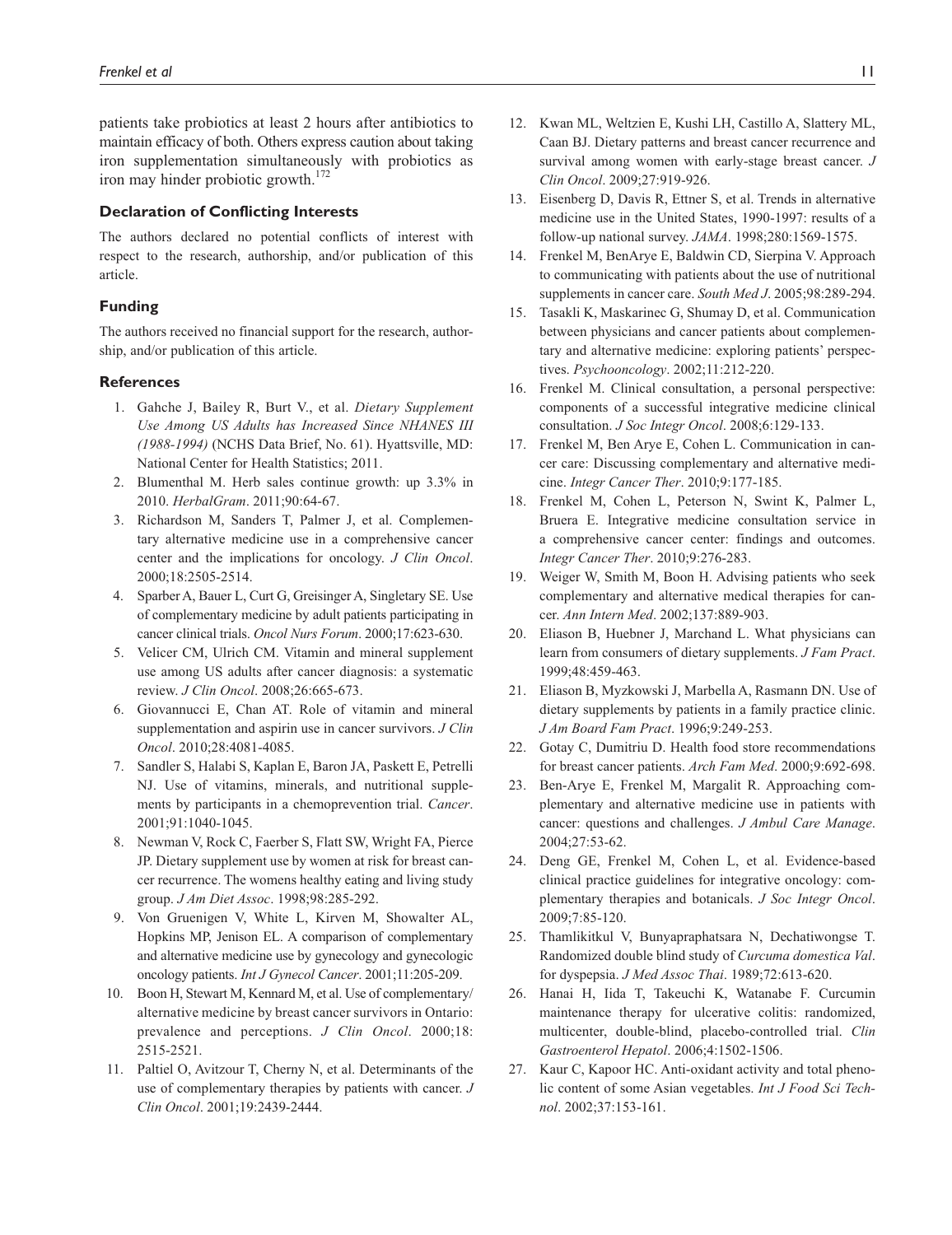patients take probiotics at least 2 hours after antibiotics to maintain efficacy of both. Others express caution about taking iron supplementation simultaneously with probiotics as iron may hinder probiotic growth.<sup>172</sup>

#### **Declaration of Conflicting Interests**

The authors declared no potential conflicts of interest with respect to the research, authorship, and/or publication of this article.

#### **Funding**

The authors received no financial support for the research, authorship, and/or publication of this article.

#### **References**

- 1. Gahche J, Bailey R, Burt V., et al. *Dietary Supplement Use Among US Adults has Increased Since NHANES III (1988-1994)* (NCHS Data Brief, No. 61). Hyattsville, MD: National Center for Health Statistics; 2011.
- 2. Blumenthal M. Herb sales continue growth: up 3.3% in 2010. *HerbalGram*. 2011;90:64-67.
- 3. Richardson M, Sanders T, Palmer J, et al. Complementary alternative medicine use in a comprehensive cancer center and the implications for oncology. *J Clin Oncol*. 2000;18:2505-2514.
- 4. Sparber A, Bauer L, Curt G, Greisinger A, Singletary SE. Use of complementary medicine by adult patients participating in cancer clinical trials. *Oncol Nurs Forum*. 2000;17:623-630.
- 5. Velicer CM, Ulrich CM. Vitamin and mineral supplement use among US adults after cancer diagnosis: a systematic review. *J Clin Oncol*. 2008;26:665-673.
- 6. Giovannucci E, Chan AT. Role of vitamin and mineral supplementation and aspirin use in cancer survivors. *J Clin Oncol*. 2010;28:4081-4085.
- 7. Sandler S, Halabi S, Kaplan E, Baron JA, Paskett E, Petrelli NJ. Use of vitamins, minerals, and nutritional supplements by participants in a chemoprevention trial. *Cancer*. 2001;91:1040-1045.
- 8. Newman V, Rock C, Faerber S, Flatt SW, Wright FA, Pierce JP. Dietary supplement use by women at risk for breast cancer recurrence. The womens healthy eating and living study group. *J Am Diet Assoc*. 1998;98:285-292.
- 9. Von Gruenigen V, White L, Kirven M, Showalter AL, Hopkins MP, Jenison EL. A comparison of complementary and alternative medicine use by gynecology and gynecologic oncology patients. *Int J Gynecol Cancer*. 2001;11:205-209.
- 10. Boon H, Stewart M, Kennard M, et al. Use of complementary/ alternative medicine by breast cancer survivors in Ontario: prevalence and perceptions. *J Clin Oncol*. 2000;18: 2515-2521.
- 11. Paltiel O, Avitzour T, Cherny N, et al. Determinants of the use of complementary therapies by patients with cancer. *J Clin Oncol*. 2001;19:2439-2444.
- 12. Kwan ML, Weltzien E, Kushi LH, Castillo A, Slattery ML, Caan BJ. Dietary patterns and breast cancer recurrence and survival among women with early-stage breast cancer. *J Clin Oncol*. 2009;27:919-926.
- 13. Eisenberg D, Davis R, Ettner S, et al. Trends in alternative medicine use in the United States, 1990-1997: results of a follow-up national survey. *JAMA*. 1998;280:1569-1575.
- 14. Frenkel M, BenArye E, Baldwin CD, Sierpina V. Approach to communicating with patients about the use of nutritional supplements in cancer care. *South Med J*. 2005;98:289-294.
- 15. Tasakli K, Maskarinec G, Shumay D, et al. Communication between physicians and cancer patients about complementary and alternative medicine: exploring patients' perspectives. *Psychooncology*. 2002;11:212-220.
- 16. Frenkel M. Clinical consultation, a personal perspective: components of a successful integrative medicine clinical consultation. *J Soc Integr Oncol*. 2008;6:129-133.
- 17. Frenkel M, Ben Arye E, Cohen L. Communication in cancer care: Discussing complementary and alternative medicine. *Integr Cancer Ther*. 2010;9:177-185.
- 18. Frenkel M, Cohen L, Peterson N, Swint K, Palmer L, Bruera E. Integrative medicine consultation service in a comprehensive cancer center: findings and outcomes. *Integr Cancer Ther*. 2010;9:276-283.
- 19. Weiger W, Smith M, Boon H. Advising patients who seek complementary and alternative medical therapies for cancer. *Ann Intern Med*. 2002;137:889-903.
- 20. Eliason B, Huebner J, Marchand L. What physicians can learn from consumers of dietary supplements. *J Fam Pract*. 1999;48:459-463.
- 21. Eliason B, Myzkowski J, Marbella A, Rasmann DN. Use of dietary supplements by patients in a family practice clinic. *J Am Board Fam Pract*. 1996;9:249-253.
- 22. Gotay C, Dumitriu D. Health food store recommendations for breast cancer patients. *Arch Fam Med*. 2000;9:692-698.
- 23. Ben-Arye E, Frenkel M, Margalit R. Approaching complementary and alternative medicine use in patients with cancer: questions and challenges. *J Ambul Care Manage*. 2004;27:53-62.
- 24. Deng GE, Frenkel M, Cohen L, et al. Evidence-based clinical practice guidelines for integrative oncology: complementary therapies and botanicals. *J Soc Integr Oncol*. 2009;7:85-120.
- 25. Thamlikitkul V, Bunyapraphatsara N, Dechatiwongse T. Randomized double blind study of *Curcuma domestica Val*. for dyspepsia. *J Med Assoc Thai*. 1989;72:613-620.
- 26. Hanai H, Iida T, Takeuchi K, Watanabe F. Curcumin maintenance therapy for ulcerative colitis: randomized, multicenter, double-blind, placebo-controlled trial. *Clin Gastroenterol Hepatol*. 2006;4:1502-1506.
- 27. Kaur C, Kapoor HC. Anti-oxidant activity and total phenolic content of some Asian vegetables. *Int J Food Sci Technol*. 2002;37:153-161.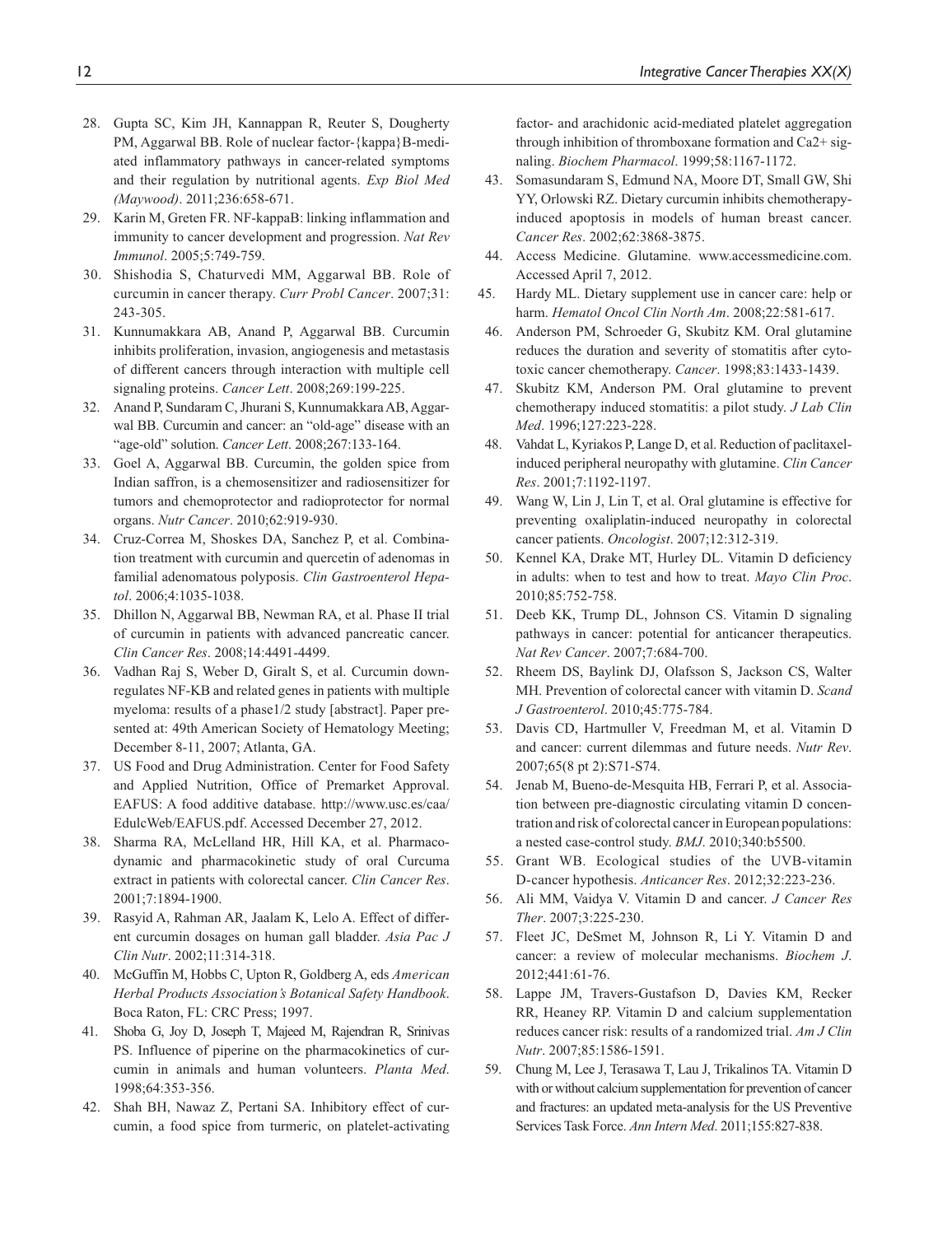- 28. Gupta SC, Kim JH, Kannappan R, Reuter S, Dougherty PM, Aggarwal BB. Role of nuclear factor-{kappa}B-mediated inflammatory pathways in cancer-related symptoms and their regulation by nutritional agents. *Exp Biol Med (Maywood)*. 2011;236:658-671.
- 29. Karin M, Greten FR. NF-kappaB: linking inflammation and immunity to cancer development and progression. *Nat Rev Immunol*. 2005;5:749-759.
- 30. Shishodia S, Chaturvedi MM, Aggarwal BB. Role of curcumin in cancer therapy. *Curr Probl Cancer*. 2007;31: 243-305.
- 31. Kunnumakkara AB, Anand P, Aggarwal BB. Curcumin inhibits proliferation, invasion, angiogenesis and metastasis of different cancers through interaction with multiple cell signaling proteins. *Cancer Lett*. 2008;269:199-225.
- 32. Anand P, Sundaram C, Jhurani S, Kunnumakkara AB, Aggarwal BB. Curcumin and cancer: an "old-age" disease with an "age-old" solution. *Cancer Lett*. 2008;267:133-164.
- 33. Goel A, Aggarwal BB. Curcumin, the golden spice from Indian saffron, is a chemosensitizer and radiosensitizer for tumors and chemoprotector and radioprotector for normal organs. *Nutr Cancer*. 2010;62:919-930.
- 34. Cruz-Correa M, Shoskes DA, Sanchez P, et al. Combination treatment with curcumin and quercetin of adenomas in familial adenomatous polyposis. *Clin Gastroenterol Hepatol*. 2006;4:1035-1038.
- 35. Dhillon N, Aggarwal BB, Newman RA, et al. Phase II trial of curcumin in patients with advanced pancreatic cancer. *Clin Cancer Res*. 2008;14:4491-4499.
- 36. Vadhan Raj S, Weber D, Giralt S, et al. Curcumin downregulates NF-KB and related genes in patients with multiple myeloma: results of a phase1/2 study [abstract]. Paper presented at: 49th American Society of Hematology Meeting; December 8-11, 2007; Atlanta, GA.
- 37. US Food and Drug Administration. Center for Food Safety and Applied Nutrition, Office of Premarket Approval. EAFUS: A food additive database. http://www.usc.es/caa/ EdulcWeb/EAFUS.pdf. Accessed December 27, 2012.
- 38. Sharma RA, McLelland HR, Hill KA, et al. Pharmacodynamic and pharmacokinetic study of oral Curcuma extract in patients with colorectal cancer. *Clin Cancer Res*. 2001;7:1894-1900.
- 39. Rasyid A, Rahman AR, Jaalam K, Lelo A. Effect of different curcumin dosages on human gall bladder. *Asia Pac J Clin Nutr*. 2002;11:314-318.
- 40. McGuffin M, Hobbs C, Upton R, Goldberg A, eds *American Herbal Products Association's Botanical Safety Handbook*. Boca Raton, FL: CRC Press; 1997.
- 41. Shoba G, Joy D, Joseph T, Majeed M, Rajendran R, Srinivas PS. Influence of piperine on the pharmacokinetics of curcumin in animals and human volunteers. *Planta Med*. 1998;64:353-356.
- 42. Shah BH, Nawaz Z, Pertani SA. Inhibitory effect of curcumin, a food spice from turmeric, on platelet-activating

factor- and arachidonic acid-mediated platelet aggregation through inhibition of thromboxane formation and Ca2+ signaling. *Biochem Pharmacol*. 1999;58:1167-1172.

- 43. Somasundaram S, Edmund NA, Moore DT, Small GW, Shi YY, Orlowski RZ. Dietary curcumin inhibits chemotherapyinduced apoptosis in models of human breast cancer. *Cancer Res*. 2002;62:3868-3875.
- 44. Access Medicine. Glutamine. www.accessmedicine.com. Accessed April 7, 2012.
- 45. Hardy ML. Dietary supplement use in cancer care: help or harm. *Hematol Oncol Clin North Am*. 2008;22:581-617.
- 46. Anderson PM, Schroeder G, Skubitz KM. Oral glutamine reduces the duration and severity of stomatitis after cytotoxic cancer chemotherapy. *Cancer*. 1998;83:1433-1439.
- 47. Skubitz KM, Anderson PM. Oral glutamine to prevent chemotherapy induced stomatitis: a pilot study. *J Lab Clin Med*. 1996;127:223-228.
- 48. Vahdat L, Kyriakos P, Lange D, et al. Reduction of paclitaxelinduced peripheral neuropathy with glutamine. *Clin Cancer Res*. 2001;7:1192-1197.
- 49. Wang W, Lin J, Lin T, et al. Oral glutamine is effective for preventing oxaliplatin-induced neuropathy in colorectal cancer patients. *Oncologist*. 2007;12:312-319.
- 50. Kennel KA, Drake MT, Hurley DL. Vitamin D deficiency in adults: when to test and how to treat. *Mayo Clin Proc*. 2010;85:752-758.
- 51. Deeb KK, Trump DL, Johnson CS. Vitamin D signaling pathways in cancer: potential for anticancer therapeutics. *Nat Rev Cancer*. 2007;7:684-700.
- 52. Rheem DS, Baylink DJ, Olafsson S, Jackson CS, Walter MH. Prevention of colorectal cancer with vitamin D. *Scand J Gastroenterol*. 2010;45:775-784.
- 53. Davis CD, Hartmuller V, Freedman M, et al. Vitamin D and cancer: current dilemmas and future needs. *Nutr Rev*. 2007;65(8 pt 2):S71-S74.
- 54. Jenab M, Bueno-de-Mesquita HB, Ferrari P, et al. Association between pre-diagnostic circulating vitamin D concentration and risk of colorectal cancer in European populations: a nested case-control study. *BMJ*. 2010;340:b5500.
- 55. Grant WB. Ecological studies of the UVB-vitamin D-cancer hypothesis. *Anticancer Res*. 2012;32:223-236.
- 56. Ali MM, Vaidya V. Vitamin D and cancer. *J Cancer Res Ther*. 2007;3:225-230.
- 57. Fleet JC, DeSmet M, Johnson R, Li Y. Vitamin D and cancer: a review of molecular mechanisms. *Biochem J*. 2012;441:61-76.
- 58. Lappe JM, Travers-Gustafson D, Davies KM, Recker RR, Heaney RP. Vitamin D and calcium supplementation reduces cancer risk: results of a randomized trial. *Am J Clin Nutr*. 2007;85:1586-1591.
- 59. Chung M, Lee J, Terasawa T, Lau J, Trikalinos TA. Vitamin D with or without calcium supplementation for prevention of cancer and fractures: an updated meta-analysis for the US Preventive Services Task Force. *Ann Intern Med*. 2011;155:827-838.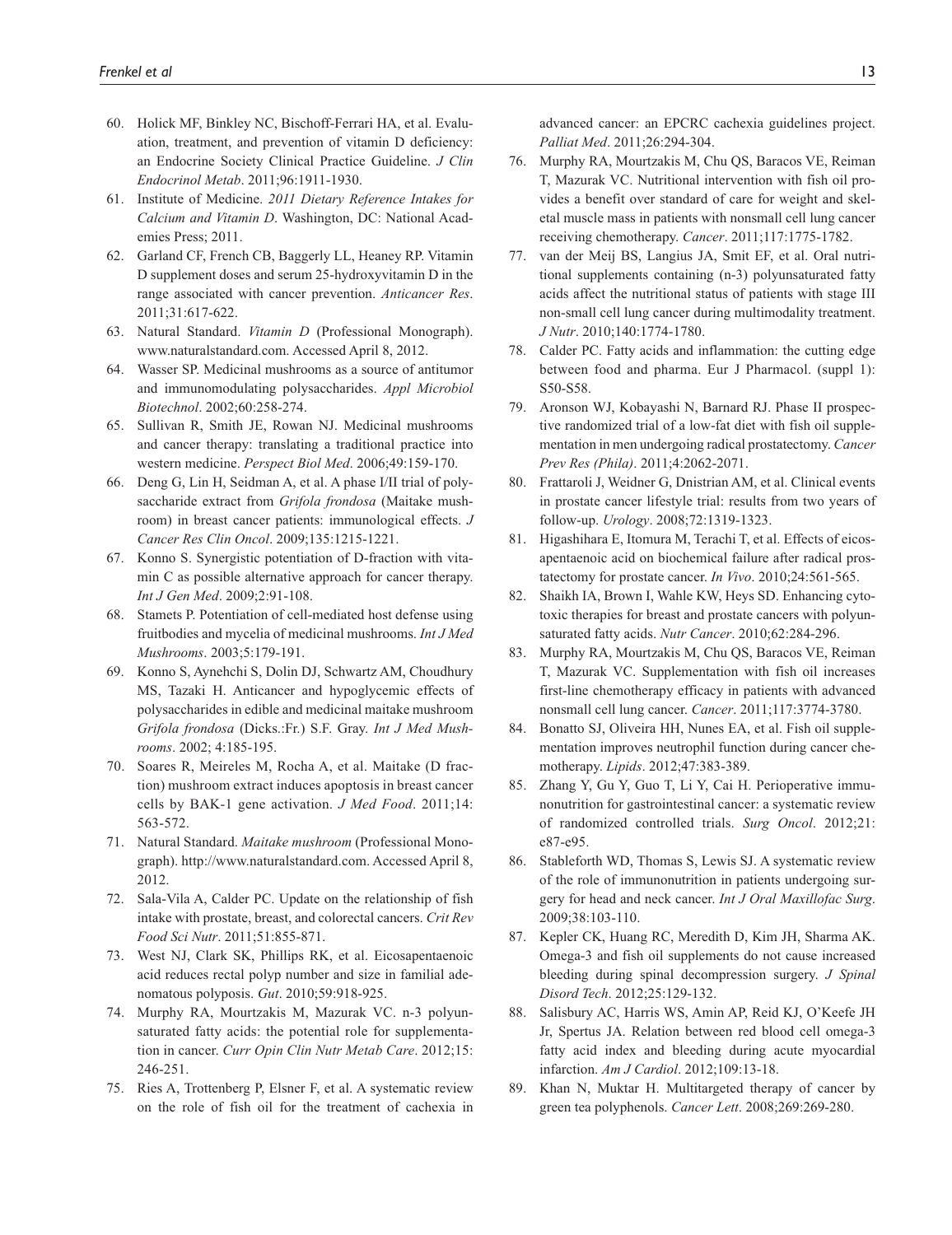- 60. Holick MF, Binkley NC, Bischoff-Ferrari HA, et al. Evaluation, treatment, and prevention of vitamin D deficiency: an Endocrine Society Clinical Practice Guideline. *J Clin Endocrinol Metab*. 2011;96:1911-1930.
- 61. Institute of Medicine. *2011 Dietary Reference Intakes for Calcium and Vitamin D*. Washington, DC: National Academies Press; 2011.
- 62. Garland CF, French CB, Baggerly LL, Heaney RP. Vitamin D supplement doses and serum 25-hydroxyvitamin D in the range associated with cancer prevention. *Anticancer Res*. 2011;31:617-622.
- 63. Natural Standard. *Vitamin D* (Professional Monograph). www.naturalstandard.com. Accessed April 8, 2012.
- 64. Wasser SP. Medicinal mushrooms as a source of antitumor and immunomodulating polysaccharides. *Appl Microbiol Biotechnol*. 2002;60:258-274.
- 65. Sullivan R, Smith JE, Rowan NJ. Medicinal mushrooms and cancer therapy: translating a traditional practice into western medicine. *Perspect Biol Med*. 2006;49:159-170.
- 66. Deng G, Lin H, Seidman A, et al. A phase I/II trial of polysaccharide extract from *Grifola frondosa* (Maitake mushroom) in breast cancer patients: immunological effects. *J Cancer Res Clin Oncol*. 2009;135:1215-1221.
- 67. Konno S. Synergistic potentiation of D-fraction with vitamin C as possible alternative approach for cancer therapy. *Int J Gen Med*. 2009;2:91-108.
- 68. Stamets P. Potentiation of cell-mediated host defense using fruitbodies and mycelia of medicinal mushrooms. *Int J Med Mushrooms*. 2003;5:179-191.
- 69. Konno S, Aynehchi S, Dolin DJ, Schwartz AM, Choudhury MS, Tazaki H. Anticancer and hypoglycemic effects of polysaccharides in edible and medicinal maitake mushroom *Grifola frondosa* (Dicks.:Fr.) S.F. Gray. *Int J Med Mushrooms*. 2002; 4:185-195.
- 70. Soares R, Meireles M, Rocha A, et al. Maitake (D fraction) mushroom extract induces apoptosis in breast cancer cells by BAK-1 gene activation. *J Med Food*. 2011;14: 563-572.
- 71. Natural Standard. *Maitake mushroom* (Professional Monograph). http://www.naturalstandard.com. Accessed April 8, 2012.
- 72. Sala-Vila A, Calder PC. Update on the relationship of fish intake with prostate, breast, and colorectal cancers. *Crit Rev Food Sci Nutr*. 2011;51:855-871.
- 73. West NJ, Clark SK, Phillips RK, et al. Eicosapentaenoic acid reduces rectal polyp number and size in familial adenomatous polyposis. *Gut*. 2010;59:918-925.
- 74. Murphy RA, Mourtzakis M, Mazurak VC. n-3 polyunsaturated fatty acids: the potential role for supplementation in cancer. *Curr Opin Clin Nutr Metab Care*. 2012;15: 246-251.
- 75. Ries A, Trottenberg P, Elsner F, et al. A systematic review on the role of fish oil for the treatment of cachexia in

advanced cancer: an EPCRC cachexia guidelines project. *Palliat Med*. 2011;26:294-304.

- 76. Murphy RA, Mourtzakis M, Chu QS, Baracos VE, Reiman T, Mazurak VC. Nutritional intervention with fish oil provides a benefit over standard of care for weight and skeletal muscle mass in patients with nonsmall cell lung cancer receiving chemotherapy. *Cancer*. 2011;117:1775-1782.
- 77. van der Meij BS, Langius JA, Smit EF, et al. Oral nutritional supplements containing (n-3) polyunsaturated fatty acids affect the nutritional status of patients with stage III non-small cell lung cancer during multimodality treatment. *J Nutr*. 2010;140:1774-1780.
- 78. Calder PC. Fatty acids and inflammation: the cutting edge between food and pharma. Eur J Pharmacol. (suppl 1): S50-S58.
- 79. Aronson WJ, Kobayashi N, Barnard RJ. Phase II prospective randomized trial of a low-fat diet with fish oil supplementation in men undergoing radical prostatectomy. *Cancer Prev Res (Phila)*. 2011;4:2062-2071.
- 80. Frattaroli J, Weidner G, Dnistrian AM, et al. Clinical events in prostate cancer lifestyle trial: results from two years of follow-up. *Urology*. 2008;72:1319-1323.
- 81. Higashihara E, Itomura M, Terachi T, et al. Effects of eicosapentaenoic acid on biochemical failure after radical prostatectomy for prostate cancer. *In Vivo*. 2010;24:561-565.
- 82. Shaikh IA, Brown I, Wahle KW, Heys SD. Enhancing cytotoxic therapies for breast and prostate cancers with polyunsaturated fatty acids. *Nutr Cancer*. 2010;62:284-296.
- 83. Murphy RA, Mourtzakis M, Chu QS, Baracos VE, Reiman T, Mazurak VC. Supplementation with fish oil increases first-line chemotherapy efficacy in patients with advanced nonsmall cell lung cancer. *Cancer*. 2011;117:3774-3780.
- 84. Bonatto SJ, Oliveira HH, Nunes EA, et al. Fish oil supplementation improves neutrophil function during cancer chemotherapy. *Lipids*. 2012;47:383-389.
- 85. Zhang Y, Gu Y, Guo T, Li Y, Cai H. Perioperative immunonutrition for gastrointestinal cancer: a systematic review of randomized controlled trials. *Surg Oncol*. 2012;21: e87-e95.
- 86. Stableforth WD, Thomas S, Lewis SJ. A systematic review of the role of immunonutrition in patients undergoing surgery for head and neck cancer. *Int J Oral Maxillofac Surg*. 2009;38:103-110.
- 87. Kepler CK, Huang RC, Meredith D, Kim JH, Sharma AK. Omega-3 and fish oil supplements do not cause increased bleeding during spinal decompression surgery. *J Spinal Disord Tech*. 2012;25:129-132.
- 88. Salisbury AC, Harris WS, Amin AP, Reid KJ, O'Keefe JH Jr, Spertus JA. Relation between red blood cell omega-3 fatty acid index and bleeding during acute myocardial infarction. *Am J Cardiol*. 2012;109:13-18.
- 89. Khan N, Muktar H. Multitargeted therapy of cancer by green tea polyphenols. *Cancer Lett*. 2008;269:269-280.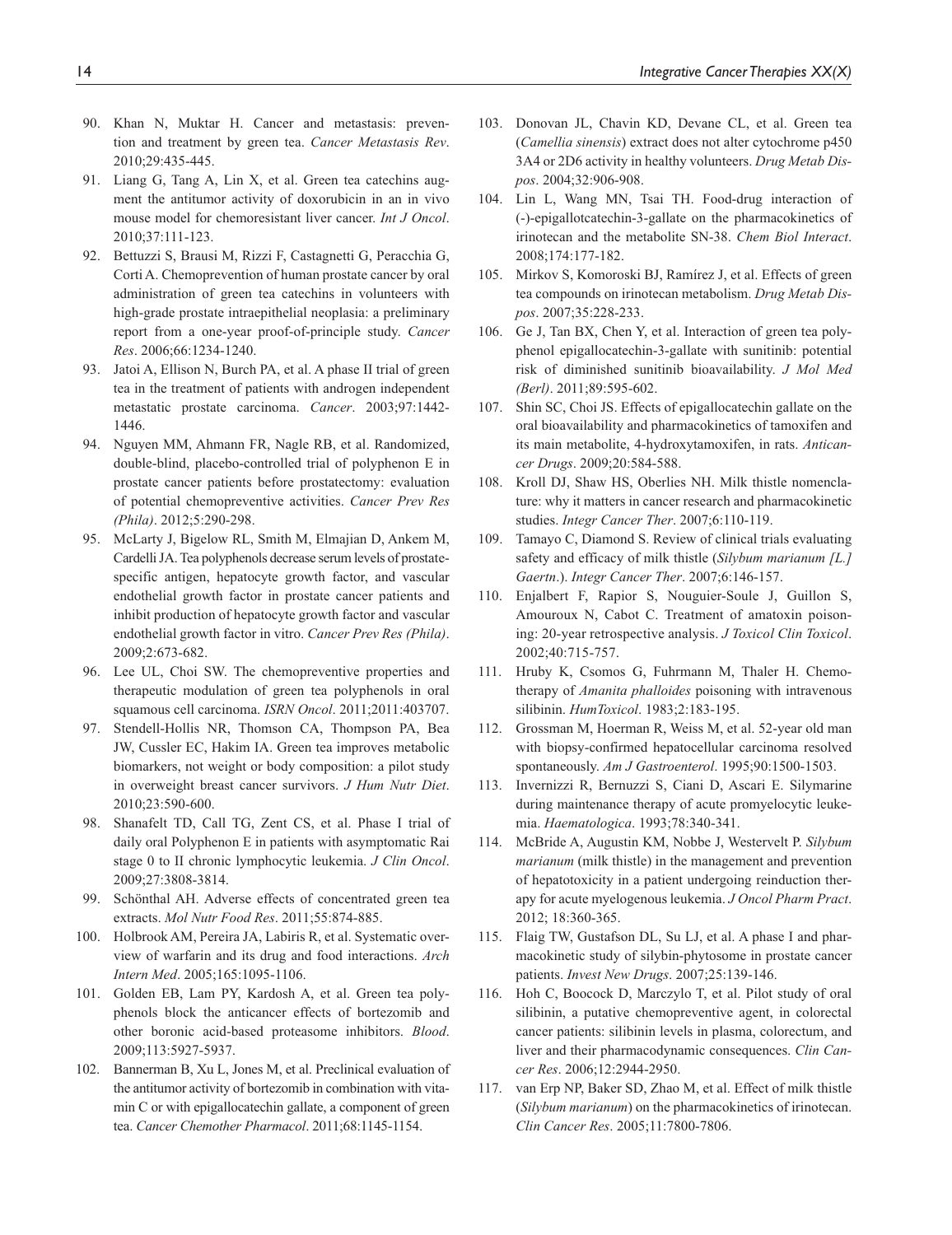- 90. Khan N, Muktar H. Cancer and metastasis: prevention and treatment by green tea. *Cancer Metastasis Rev*. 2010;29:435-445.
- 91. Liang G, Tang A, Lin X, et al. Green tea catechins augment the antitumor activity of doxorubicin in an in vivo mouse model for chemoresistant liver cancer. *Int J Oncol*. 2010;37:111-123.
- 92. Bettuzzi S, Brausi M, Rizzi F, Castagnetti G, Peracchia G, Corti A. Chemoprevention of human prostate cancer by oral administration of green tea catechins in volunteers with high-grade prostate intraepithelial neoplasia: a preliminary report from a one-year proof-of-principle study. *Cancer Res*. 2006;66:1234-1240.
- 93. Jatoi A, Ellison N, Burch PA, et al. A phase II trial of green tea in the treatment of patients with androgen independent metastatic prostate carcinoma. *Cancer*. 2003;97:1442- 1446.
- 94. Nguyen MM, Ahmann FR, Nagle RB, et al. Randomized, double-blind, placebo-controlled trial of polyphenon E in prostate cancer patients before prostatectomy: evaluation of potential chemopreventive activities. *Cancer Prev Res (Phila)*. 2012;5:290-298.
- 95. McLarty J, Bigelow RL, Smith M, Elmajian D, Ankem M, Cardelli JA. Tea polyphenols decrease serum levels of prostatespecific antigen, hepatocyte growth factor, and vascular endothelial growth factor in prostate cancer patients and inhibit production of hepatocyte growth factor and vascular endothelial growth factor in vitro. *Cancer Prev Res (Phila)*. 2009;2:673-682.
- 96. Lee UL, Choi SW. The chemopreventive properties and therapeutic modulation of green tea polyphenols in oral squamous cell carcinoma. *ISRN Oncol*. 2011;2011:403707.
- 97. Stendell-Hollis NR, Thomson CA, Thompson PA, Bea JW, Cussler EC, Hakim IA. Green tea improves metabolic biomarkers, not weight or body composition: a pilot study in overweight breast cancer survivors. *J Hum Nutr Diet*. 2010;23:590-600.
- 98. Shanafelt TD, Call TG, Zent CS, et al. Phase I trial of daily oral Polyphenon E in patients with asymptomatic Rai stage 0 to II chronic lymphocytic leukemia. *J Clin Oncol*. 2009;27:3808-3814.
- 99. Schönthal AH. Adverse effects of concentrated green tea extracts. *Mol Nutr Food Res*. 2011;55:874-885.
- 100. Holbrook AM, Pereira JA, Labiris R, et al. Systematic overview of warfarin and its drug and food interactions. *Arch Intern Med*. 2005;165:1095-1106.
- 101. Golden EB, Lam PY, Kardosh A, et al. Green tea polyphenols block the anticancer effects of bortezomib and other boronic acid-based proteasome inhibitors. *Blood*. 2009;113:5927-5937.
- 102. Bannerman B, Xu L, Jones M, et al. Preclinical evaluation of the antitumor activity of bortezomib in combination with vitamin C or with epigallocatechin gallate, a component of green tea. *Cancer Chemother Pharmacol*. 2011;68:1145-1154.
- 103. Donovan JL, Chavin KD, Devane CL, et al. Green tea (*Camellia sinensis*) extract does not alter cytochrome p450 3A4 or 2D6 activity in healthy volunteers. *Drug Metab Dispos*. 2004;32:906-908.
- 104. Lin L, Wang MN, Tsai TH. Food-drug interaction of (-)-epigallotcatechin-3-gallate on the pharmacokinetics of irinotecan and the metabolite SN-38. *Chem Biol Interact*. 2008;174:177-182.
- 105. Mirkov S, Komoroski BJ, Ramírez J, et al. Effects of green tea compounds on irinotecan metabolism. *Drug Metab Dispos*. 2007;35:228-233.
- 106. Ge J, Tan BX, Chen Y, et al. Interaction of green tea polyphenol epigallocatechin-3-gallate with sunitinib: potential risk of diminished sunitinib bioavailability. *J Mol Med (Berl)*. 2011;89:595-602.
- 107. Shin SC, Choi JS. Effects of epigallocatechin gallate on the oral bioavailability and pharmacokinetics of tamoxifen and its main metabolite, 4-hydroxytamoxifen, in rats. *Anticancer Drugs*. 2009;20:584-588.
- 108. Kroll DJ, Shaw HS, Oberlies NH. Milk thistle nomenclature: why it matters in cancer research and pharmacokinetic studies. *Integr Cancer Ther*. 2007;6:110-119.
- 109. Tamayo C, Diamond S. Review of clinical trials evaluating safety and efficacy of milk thistle (*Silybum marianum [L.] Gaertn*.). *Integr Cancer Ther*. 2007;6:146-157.
- 110. Enjalbert F, Rapior S, Nouguier-Soule J, Guillon S, Amouroux N, Cabot C. Treatment of amatoxin poisoning: 20-year retrospective analysis. *J Toxicol Clin Toxicol*. 2002;40:715-757.
- 111. Hruby K, Csomos G, Fuhrmann M, Thaler H. Chemotherapy of *Amanita phalloides* poisoning with intravenous silibinin. *HumToxicol*. 1983;2:183-195.
- 112. Grossman M, Hoerman R, Weiss M, et al. 52-year old man with biopsy-confirmed hepatocellular carcinoma resolved spontaneously. *Am J Gastroenterol*. 1995;90:1500-1503.
- 113. Invernizzi R, Bernuzzi S, Ciani D, Ascari E. Silymarine during maintenance therapy of acute promyelocytic leukemia. *Haematologica*. 1993;78:340-341.
- 114. McBride A, Augustin KM, Nobbe J, Westervelt P. *Silybum marianum* (milk thistle) in the management and prevention of hepatotoxicity in a patient undergoing reinduction therapy for acute myelogenous leukemia. *J Oncol Pharm Pract*. 2012; 18:360-365.
- 115. Flaig TW, Gustafson DL, Su LJ, et al. A phase I and pharmacokinetic study of silybin-phytosome in prostate cancer patients. *Invest New Drugs*. 2007;25:139-146.
- 116. Hoh C, Boocock D, Marczylo T, et al. Pilot study of oral silibinin, a putative chemopreventive agent, in colorectal cancer patients: silibinin levels in plasma, colorectum, and liver and their pharmacodynamic consequences. *Clin Cancer Res*. 2006;12:2944-2950.
- 117. van Erp NP, Baker SD, Zhao M, et al. Effect of milk thistle (*Silybum marianum*) on the pharmacokinetics of irinotecan. *Clin Cancer Res*. 2005;11:7800-7806.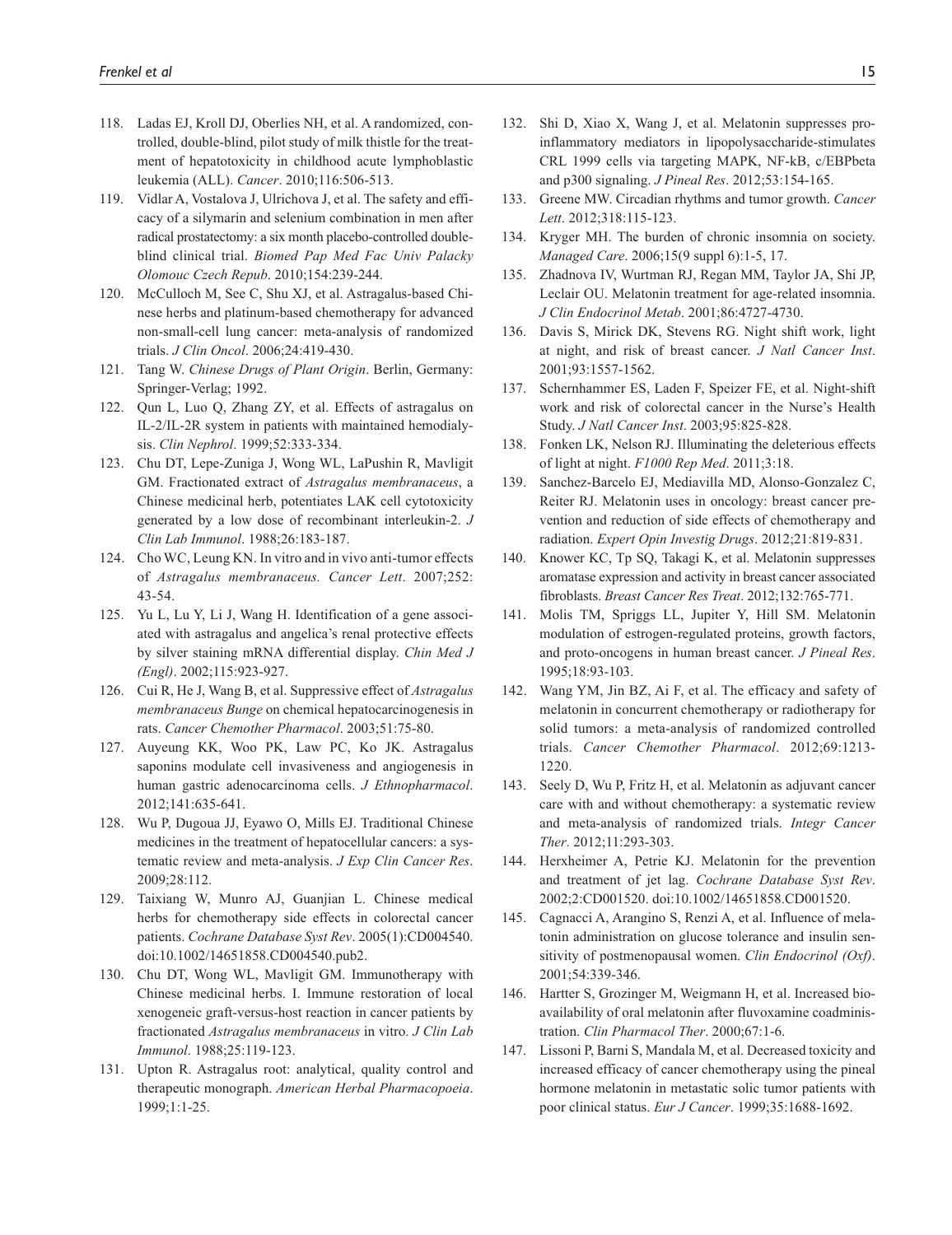- 118. Ladas EJ, Kroll DJ, Oberlies NH, et al. A randomized, controlled, double-blind, pilot study of milk thistle for the treatment of hepatotoxicity in childhood acute lymphoblastic leukemia (ALL). *Cancer*. 2010;116:506-513.
- 119. Vidlar A, Vostalova J, Ulrichova J, et al. The safety and efficacy of a silymarin and selenium combination in men after radical prostatectomy: a six month placebo-controlled doubleblind clinical trial. *Biomed Pap Med Fac Univ Palacky Olomouc Czech Repub*. 2010;154:239-244.
- 120. McCulloch M, See C, Shu XJ, et al. Astragalus-based Chinese herbs and platinum-based chemotherapy for advanced non-small-cell lung cancer: meta-analysis of randomized trials. *J Clin Oncol*. 2006;24:419-430.
- 121. Tang W. *Chinese Drugs of Plant Origin*. Berlin, Germany: Springer-Verlag; 1992.
- 122. Qun L, Luo Q, Zhang ZY, et al. Effects of astragalus on IL-2/IL-2R system in patients with maintained hemodialysis. *Clin Nephrol*. 1999;52:333-334.
- 123. Chu DT, Lepe-Zuniga J, Wong WL, LaPushin R, Mavligit GM. Fractionated extract of *Astragalus membranaceus*, a Chinese medicinal herb, potentiates LAK cell cytotoxicity generated by a low dose of recombinant interleukin-2. *J Clin Lab Immunol*. 1988;26:183-187.
- 124. Cho WC, Leung KN. In vitro and in vivo anti-tumor effects of *Astragalus membranaceus. Cancer Lett*. 2007;252: 43-54.
- 125. Yu L, Lu Y, Li J, Wang H. Identification of a gene associated with astragalus and angelica's renal protective effects by silver staining mRNA differential display. *Chin Med J (Engl)*. 2002;115:923-927.
- 126. Cui R, He J, Wang B, et al. Suppressive effect of *Astragalus membranaceus Bunge* on chemical hepatocarcinogenesis in rats. *Cancer Chemother Pharmacol*. 2003;51:75-80.
- 127. Auyeung KK, Woo PK, Law PC, Ko JK. Astragalus saponins modulate cell invasiveness and angiogenesis in human gastric adenocarcinoma cells. *J Ethnopharmacol*. 2012;141:635-641.
- 128. Wu P, Dugoua JJ, Eyawo O, Mills EJ. Traditional Chinese medicines in the treatment of hepatocellular cancers: a systematic review and meta-analysis. *J Exp Clin Cancer Res*. 2009;28:112.
- 129. Taixiang W, Munro AJ, Guanjian L. Chinese medical herbs for chemotherapy side effects in colorectal cancer patients. *Cochrane Database Syst Rev*. 2005(1):CD004540. doi:10.1002/14651858.CD004540.pub2.
- 130. Chu DT, Wong WL, Mavligit GM. Immunotherapy with Chinese medicinal herbs. I. Immune restoration of local xenogeneic graft-versus-host reaction in cancer patients by fractionated *Astragalus membranaceus* in vitro. *J Clin Lab Immunol*. 1988;25:119-123.
- 131. Upton R. Astragalus root: analytical, quality control and therapeutic monograph. *American Herbal Pharmacopoeia*. 1999;1:1-25.
- 132. Shi D, Xiao X, Wang J, et al. Melatonin suppresses proinflammatory mediators in lipopolysaccharide-stimulates CRL 1999 cells via targeting MAPK, NF-kB, c/EBPbeta and p300 signaling. *J Pineal Res*. 2012;53:154-165.
- 133. Greene MW. Circadian rhythms and tumor growth. *Cancer Lett*. 2012;318:115-123.
- 134. Kryger MH. The burden of chronic insomnia on society. *Managed Care*. 2006;15(9 suppl 6):1-5, 17.
- 135. Zhadnova IV, Wurtman RJ, Regan MM, Taylor JA, Shi JP, Leclair OU. Melatonin treatment for age-related insomnia. *J Clin Endocrinol Metab*. 2001;86:4727-4730.
- 136. Davis S, Mirick DK, Stevens RG. Night shift work, light at night, and risk of breast cancer. *J Natl Cancer Inst*. 2001;93:1557-1562.
- 137. Schernhammer ES, Laden F, Speizer FE, et al. Night-shift work and risk of colorectal cancer in the Nurse's Health Study. *J Natl Cancer Inst*. 2003;95:825-828.
- 138. Fonken LK, Nelson RJ. Illuminating the deleterious effects of light at night. *F1000 Rep Med*. 2011;3:18.
- 139. Sanchez-Barcelo EJ, Mediavilla MD, Alonso-Gonzalez C, Reiter RJ. Melatonin uses in oncology: breast cancer prevention and reduction of side effects of chemotherapy and radiation. *Expert Opin Investig Drugs*. 2012;21:819-831.
- 140. Knower KC, Tp SQ, Takagi K, et al. Melatonin suppresses aromatase expression and activity in breast cancer associated fibroblasts. *Breast Cancer Res Treat*. 2012;132:765-771.
- 141. Molis TM, Spriggs LL, Jupiter Y, Hill SM. Melatonin modulation of estrogen-regulated proteins, growth factors, and proto-oncogens in human breast cancer. *J Pineal Res*. 1995;18:93-103.
- 142. Wang YM, Jin BZ, Ai F, et al. The efficacy and safety of melatonin in concurrent chemotherapy or radiotherapy for solid tumors: a meta-analysis of randomized controlled trials. *Cancer Chemother Pharmacol*. 2012;69:1213- 1220.
- 143. Seely D, Wu P, Fritz H, et al. Melatonin as adjuvant cancer care with and without chemotherapy: a systematic review and meta-analysis of randomized trials. *Integr Cancer Ther*. 2012;11:293-303.
- 144. Herxheimer A, Petrie KJ. Melatonin for the prevention and treatment of jet lag. *Cochrane Database Syst Rev*. 2002;2:CD001520. doi:10.1002/14651858.CD001520.
- 145. Cagnacci A, Arangino S, Renzi A, et al. Influence of melatonin administration on glucose tolerance and insulin sensitivity of postmenopausal women. *Clin Endocrinol (Oxf)*. 2001;54:339-346.
- 146. Hartter S, Grozinger M, Weigmann H, et al. Increased bioavailability of oral melatonin after fluvoxamine coadministration. *Clin Pharmacol Ther*. 2000;67:1-6.
- 147. Lissoni P, Barni S, Mandala M, et al. Decreased toxicity and increased efficacy of cancer chemotherapy using the pineal hormone melatonin in metastatic solic tumor patients with poor clinical status. *Eur J Cancer*. 1999;35:1688-1692.